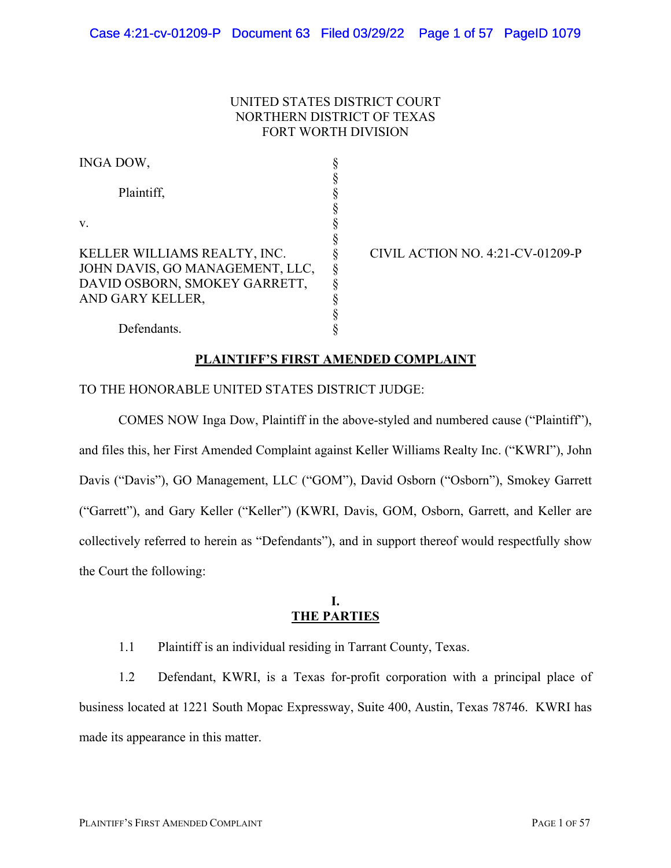### UNITED STATES DISTRICT COURT NORTHERN DISTRICT OF TEXAS FORT WORTH DIVISION

| INGA DOW,                                                        |  |
|------------------------------------------------------------------|--|
| Plaintiff,                                                       |  |
| V.                                                               |  |
| KELLER WILLIAMS REALTY, INC.                                     |  |
| JOHN DAVIS, GO MANAGEMENT, LLC,<br>DAVID OSBORN, SMOKEY GARRETT, |  |
| AND GARY KELLER,                                                 |  |

CIVIL ACTION NO. 4:21-CV-01209-P

# Defendants.

### **PLAINTIFF'S FIRST AMENDED COMPLAINT**

### TO THE HONORABLE UNITED STATES DISTRICT JUDGE:

COMES NOW Inga Dow, Plaintiff in the above-styled and numbered cause ("Plaintiff"), and files this, her First Amended Complaint against Keller Williams Realty Inc. ("KWRI"), John Davis ("Davis"), GO Management, LLC ("GOM"), David Osborn ("Osborn"), Smokey Garrett ("Garrett"), and Gary Keller ("Keller") (KWRI, Davis, GOM, Osborn, Garrett, and Keller are collectively referred to herein as "Defendants"), and in support thereof would respectfully show the Court the following:

### **I. THE PARTIES**

1.1 Plaintiff is an individual residing in Tarrant County, Texas.

1.2 Defendant, KWRI, is a Texas for-profit corporation with a principal place of business located at 1221 South Mopac Expressway, Suite 400, Austin, Texas 78746. KWRI has made its appearance in this matter.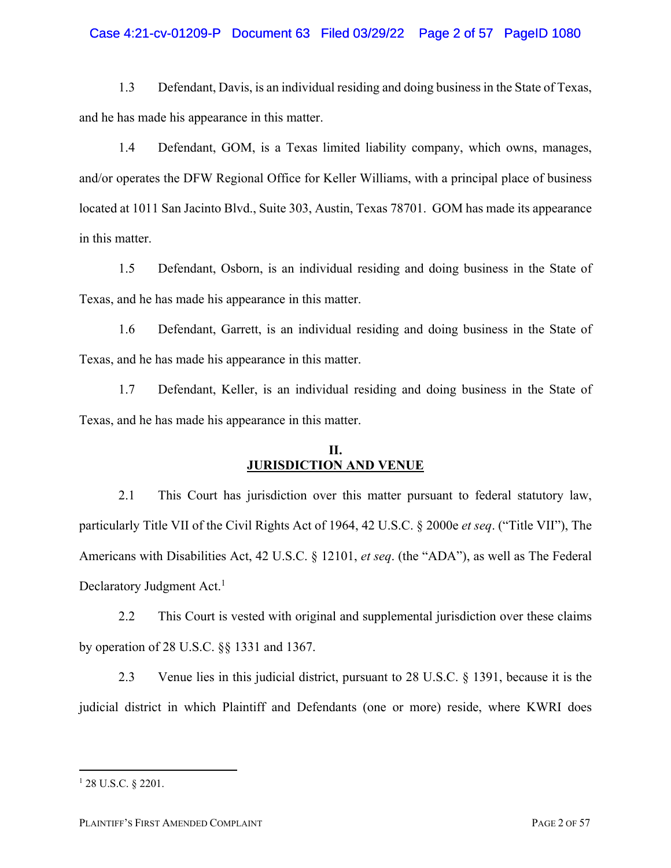#### Case 4:21-cv-01209-P Document 63 Filed 03/29/22 Page 2 of 57 PageID 1080

1.3 Defendant, Davis, is an individual residing and doing business in the State of Texas, and he has made his appearance in this matter.

1.4 Defendant, GOM, is a Texas limited liability company, which owns, manages, and/or operates the DFW Regional Office for Keller Williams, with a principal place of business located at 1011 San Jacinto Blvd., Suite 303, Austin, Texas 78701. GOM has made its appearance in this matter.

1.5 Defendant, Osborn, is an individual residing and doing business in the State of Texas, and he has made his appearance in this matter.

1.6 Defendant, Garrett, is an individual residing and doing business in the State of Texas, and he has made his appearance in this matter.

1.7 Defendant, Keller, is an individual residing and doing business in the State of Texas, and he has made his appearance in this matter.

# **II. JURISDICTION AND VENUE**

2.1 This Court has jurisdiction over this matter pursuant to federal statutory law, particularly Title VII of the Civil Rights Act of 1964, 42 U.S.C. § 2000e *et seq*. ("Title VII"), The Americans with Disabilities Act, 42 U.S.C. § 12101, *et seq*. (the "ADA"), as well as The Federal Declaratory Judgment Act.<sup>1</sup>

2.2 This Court is vested with original and supplemental jurisdiction over these claims by operation of 28 U.S.C. §§ 1331 and 1367.

2.3 Venue lies in this judicial district, pursuant to 28 U.S.C. § 1391, because it is the judicial district in which Plaintiff and Defendants (one or more) reside, where KWRI does

<sup>1</sup> 28 U.S.C. § 2201.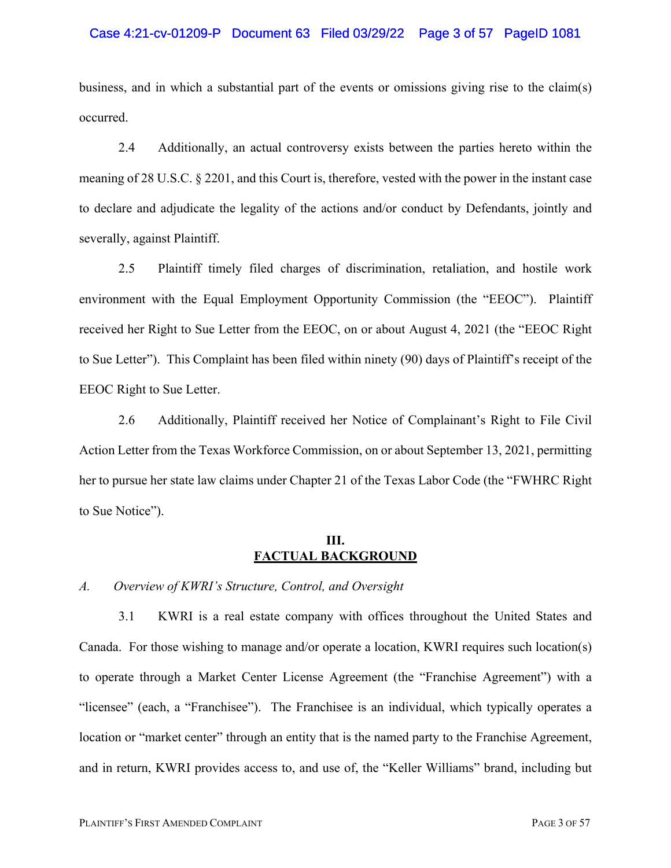#### Case 4:21-cv-01209-P Document 63 Filed 03/29/22 Page 3 of 57 PageID 1081

business, and in which a substantial part of the events or omissions giving rise to the claim(s) occurred.

2.4 Additionally, an actual controversy exists between the parties hereto within the meaning of 28 U.S.C. § 2201, and this Court is, therefore, vested with the power in the instant case to declare and adjudicate the legality of the actions and/or conduct by Defendants, jointly and severally, against Plaintiff.

2.5 Plaintiff timely filed charges of discrimination, retaliation, and hostile work environment with the Equal Employment Opportunity Commission (the "EEOC"). Plaintiff received her Right to Sue Letter from the EEOC, on or about August 4, 2021 (the "EEOC Right to Sue Letter"). This Complaint has been filed within ninety (90) days of Plaintiff's receipt of the EEOC Right to Sue Letter.

2.6 Additionally, Plaintiff received her Notice of Complainant's Right to File Civil Action Letter from the Texas Workforce Commission, on or about September 13, 2021, permitting her to pursue her state law claims under Chapter 21 of the Texas Labor Code (the "FWHRC Right to Sue Notice").

### **III. FACTUAL BACKGROUND**

#### *A. Overview of KWRI's Structure, Control, and Oversight*

3.1 KWRI is a real estate company with offices throughout the United States and Canada. For those wishing to manage and/or operate a location, KWRI requires such location(s) to operate through a Market Center License Agreement (the "Franchise Agreement") with a "licensee" (each, a "Franchisee"). The Franchisee is an individual, which typically operates a location or "market center" through an entity that is the named party to the Franchise Agreement, and in return, KWRI provides access to, and use of, the "Keller Williams" brand, including but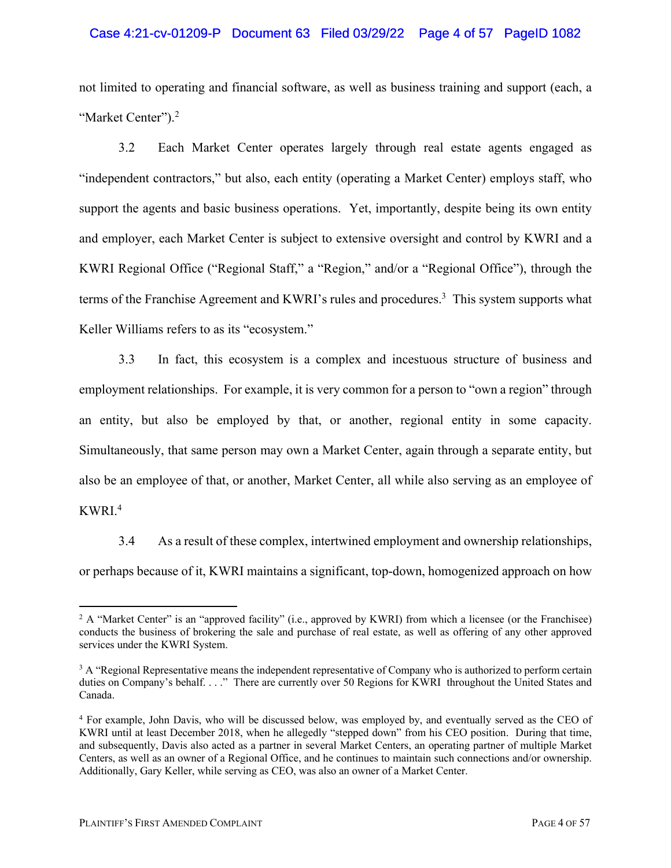### Case 4:21-cv-01209-P Document 63 Filed 03/29/22 Page 4 of 57 PageID 1082

not limited to operating and financial software, as well as business training and support (each, a "Market Center").<sup>2</sup>

3.2 Each Market Center operates largely through real estate agents engaged as "independent contractors," but also, each entity (operating a Market Center) employs staff, who support the agents and basic business operations. Yet, importantly, despite being its own entity and employer, each Market Center is subject to extensive oversight and control by KWRI and a KWRI Regional Office ("Regional Staff," a "Region," and/or a "Regional Office"), through the terms of the Franchise Agreement and KWRI's rules and procedures. 3 This system supports what Keller Williams refers to as its "ecosystem."

3.3 In fact, this ecosystem is a complex and incestuous structure of business and employment relationships. For example, it is very common for a person to "own a region" through an entity, but also be employed by that, or another, regional entity in some capacity. Simultaneously, that same person may own a Market Center, again through a separate entity, but also be an employee of that, or another, Market Center, all while also serving as an employee of KWRI. 4

3.4 As a result of these complex, intertwined employment and ownership relationships, or perhaps because of it, KWRI maintains a significant, top-down, homogenized approach on how

<sup>&</sup>lt;sup>2</sup> A "Market Center" is an "approved facility" (i.e., approved by KWRI) from which a licensee (or the Franchisee) conducts the business of brokering the sale and purchase of real estate, as well as offering of any other approved services under the KWRI System.

<sup>&</sup>lt;sup>3</sup> A "Regional Representative means the independent representative of Company who is authorized to perform certain duties on Company's behalf. . . ." There are currently over 50 Regions for KWRI throughout the United States and Canada.

<sup>4</sup> For example, John Davis, who will be discussed below, was employed by, and eventually served as the CEO of KWRI until at least December 2018, when he allegedly "stepped down" from his CEO position. During that time, and subsequently, Davis also acted as a partner in several Market Centers, an operating partner of multiple Market Centers, as well as an owner of a Regional Office, and he continues to maintain such connections and/or ownership. Additionally, Gary Keller, while serving as CEO, was also an owner of a Market Center.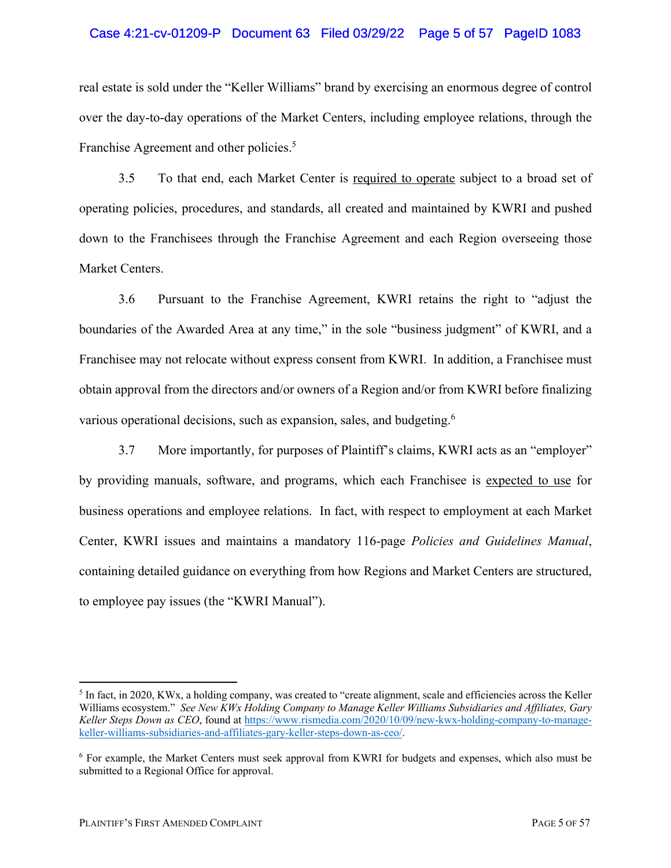### Case 4:21-cv-01209-P Document 63 Filed 03/29/22 Page 5 of 57 PageID 1083

real estate is sold under the "Keller Williams" brand by exercising an enormous degree of control over the day-to-day operations of the Market Centers, including employee relations, through the Franchise Agreement and other policies.<sup>5</sup>

3.5 To that end, each Market Center is required to operate subject to a broad set of operating policies, procedures, and standards, all created and maintained by KWRI and pushed down to the Franchisees through the Franchise Agreement and each Region overseeing those Market Centers.

3.6 Pursuant to the Franchise Agreement, KWRI retains the right to "adjust the boundaries of the Awarded Area at any time," in the sole "business judgment" of KWRI, and a Franchisee may not relocate without express consent from KWRI. In addition, a Franchisee must obtain approval from the directors and/or owners of a Region and/or from KWRI before finalizing various operational decisions, such as expansion, sales, and budgeting.<sup>6</sup>

3.7 More importantly, for purposes of Plaintiff's claims, KWRI acts as an "employer" by providing manuals, software, and programs, which each Franchisee is expected to use for business operations and employee relations. In fact, with respect to employment at each Market Center, KWRI issues and maintains a mandatory 116-page *Policies and Guidelines Manual*, containing detailed guidance on everything from how Regions and Market Centers are structured, to employee pay issues (the "KWRI Manual").

<sup>5</sup> In fact, in 2020, KWx, a holding company, was created to "create alignment, scale and efficiencies across the Keller Williams ecosystem." *See New KWx Holding Company to Manage Keller Williams Subsidiaries and Affiliates, Gary Keller Steps Down as CEO*, found at https://www.rismedia.com/2020/10/09/new-kwx-holding-company-to-managekeller-williams-subsidiaries-and-affiliates-gary-keller-steps-down-as-ceo/.

<sup>6</sup> For example, the Market Centers must seek approval from KWRI for budgets and expenses, which also must be submitted to a Regional Office for approval.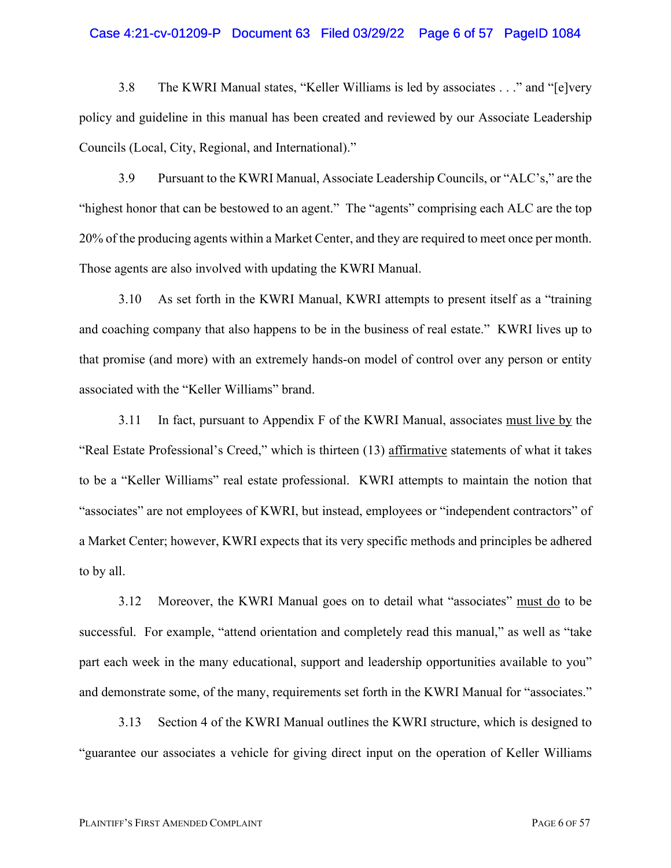#### Case 4:21-cv-01209-P Document 63 Filed 03/29/22 Page 6 of 57 PageID 1084

3.8 The KWRI Manual states, "Keller Williams is led by associates . . ." and "[e]very policy and guideline in this manual has been created and reviewed by our Associate Leadership Councils (Local, City, Regional, and International)."

3.9 Pursuant to the KWRI Manual, Associate Leadership Councils, or "ALC's," are the "highest honor that can be bestowed to an agent." The "agents" comprising each ALC are the top 20% of the producing agents within a Market Center, and they are required to meet once per month. Those agents are also involved with updating the KWRI Manual.

3.10 As set forth in the KWRI Manual, KWRI attempts to present itself as a "training and coaching company that also happens to be in the business of real estate." KWRI lives up to that promise (and more) with an extremely hands-on model of control over any person or entity associated with the "Keller Williams" brand.

3.11 In fact, pursuant to Appendix F of the KWRI Manual, associates must live by the "Real Estate Professional's Creed," which is thirteen (13) affirmative statements of what it takes to be a "Keller Williams" real estate professional. KWRI attempts to maintain the notion that "associates" are not employees of KWRI, but instead, employees or "independent contractors" of a Market Center; however, KWRI expects that its very specific methods and principles be adhered to by all.

3.12 Moreover, the KWRI Manual goes on to detail what "associates" must do to be successful. For example, "attend orientation and completely read this manual," as well as "take part each week in the many educational, support and leadership opportunities available to you" and demonstrate some, of the many, requirements set forth in the KWRI Manual for "associates."

3.13 Section 4 of the KWRI Manual outlines the KWRI structure, which is designed to "guarantee our associates a vehicle for giving direct input on the operation of Keller Williams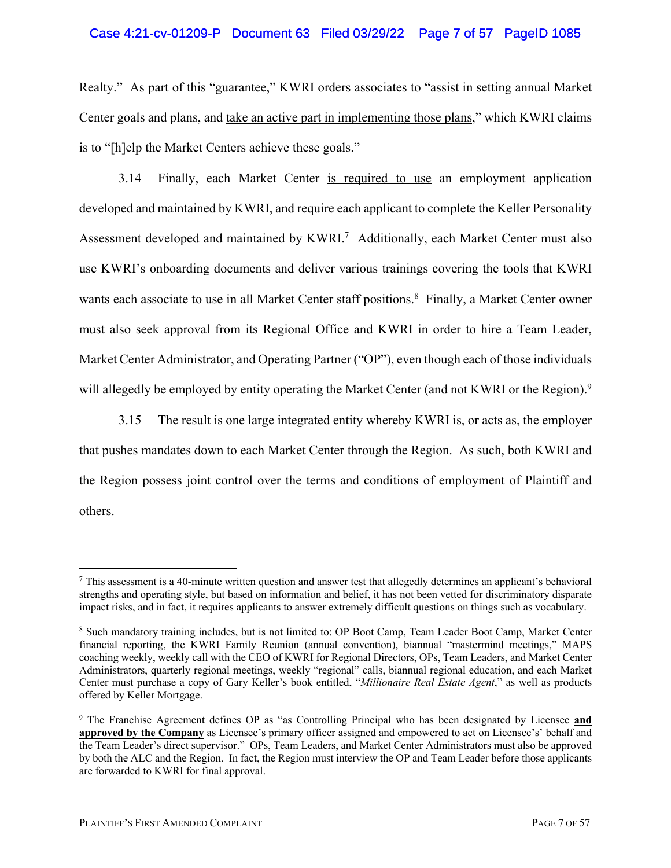### Case 4:21-cv-01209-P Document 63 Filed 03/29/22 Page 7 of 57 PageID 1085

Realty." As part of this "guarantee," KWRI orders associates to "assist in setting annual Market Center goals and plans, and take an active part in implementing those plans," which KWRI claims is to "[h]elp the Market Centers achieve these goals."

3.14 Finally, each Market Center is required to use an employment application developed and maintained by KWRI, and require each applicant to complete the Keller Personality Assessment developed and maintained by KWRI.<sup>7</sup> Additionally, each Market Center must also use KWRI's onboarding documents and deliver various trainings covering the tools that KWRI wants each associate to use in all Market Center staff positions. <sup>8</sup> Finally, a Market Center owner must also seek approval from its Regional Office and KWRI in order to hire a Team Leader, Market Center Administrator, and Operating Partner ("OP"), even though each of those individuals will allegedly be employed by entity operating the Market Center (and not KWRI or the Region).<sup>9</sup>

3.15 The result is one large integrated entity whereby KWRI is, or acts as, the employer that pushes mandates down to each Market Center through the Region. As such, both KWRI and the Region possess joint control over the terms and conditions of employment of Plaintiff and others.

<sup>7</sup> This assessment is a 40-minute written question and answer test that allegedly determines an applicant's behavioral strengths and operating style, but based on information and belief, it has not been vetted for discriminatory disparate impact risks, and in fact, it requires applicants to answer extremely difficult questions on things such as vocabulary.

<sup>8</sup> Such mandatory training includes, but is not limited to: OP Boot Camp, Team Leader Boot Camp, Market Center financial reporting, the KWRI Family Reunion (annual convention), biannual "mastermind meetings," MAPS coaching weekly, weekly call with the CEO of KWRI for Regional Directors, OPs, Team Leaders, and Market Center Administrators, quarterly regional meetings, weekly "regional" calls, biannual regional education, and each Market Center must purchase a copy of Gary Keller's book entitled, "*Millionaire Real Estate Agent*," as well as products offered by Keller Mortgage.

<sup>9</sup> The Franchise Agreement defines OP as "as Controlling Principal who has been designated by Licensee **and approved by the Company** as Licensee's primary officer assigned and empowered to act on Licensee's' behalf and the Team Leader's direct supervisor." OPs, Team Leaders, and Market Center Administrators must also be approved by both the ALC and the Region. In fact, the Region must interview the OP and Team Leader before those applicants are forwarded to KWRI for final approval.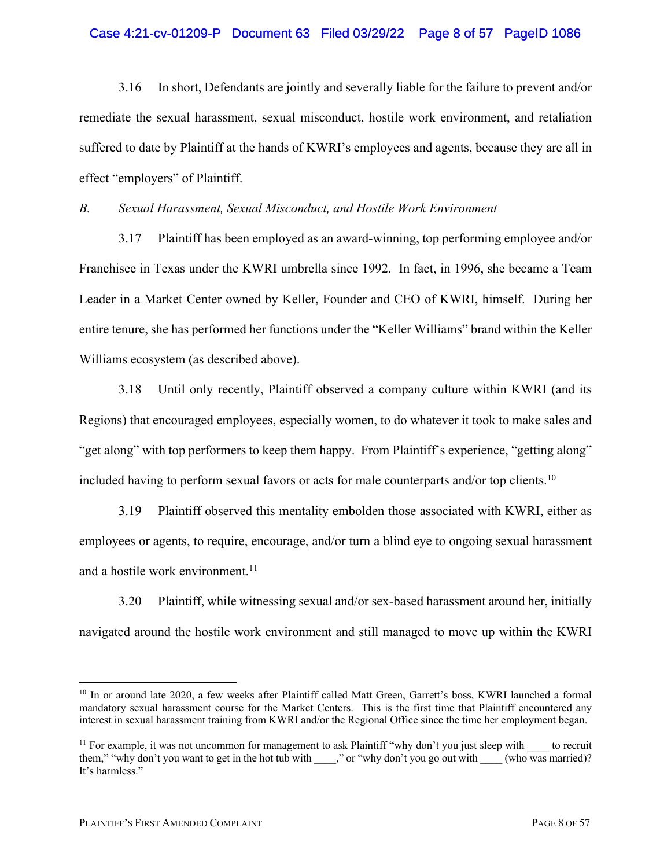### Case 4:21-cv-01209-P Document 63 Filed 03/29/22 Page 8 of 57 PageID 1086

3.16 In short, Defendants are jointly and severally liable for the failure to prevent and/or remediate the sexual harassment, sexual misconduct, hostile work environment, and retaliation suffered to date by Plaintiff at the hands of KWRI's employees and agents, because they are all in effect "employers" of Plaintiff.

*B. Sexual Harassment, Sexual Misconduct, and Hostile Work Environment*

3.17 Plaintiff has been employed as an award-winning, top performing employee and/or Franchisee in Texas under the KWRI umbrella since 1992. In fact, in 1996, she became a Team Leader in a Market Center owned by Keller, Founder and CEO of KWRI, himself. During her entire tenure, she has performed her functions under the "Keller Williams" brand within the Keller Williams ecosystem (as described above).

3.18 Until only recently, Plaintiff observed a company culture within KWRI (and its Regions) that encouraged employees, especially women, to do whatever it took to make sales and "get along" with top performers to keep them happy. From Plaintiff's experience, "getting along" included having to perform sexual favors or acts for male counterparts and/or top clients.<sup>10</sup>

3.19 Plaintiff observed this mentality embolden those associated with KWRI, either as employees or agents, to require, encourage, and/or turn a blind eye to ongoing sexual harassment and a hostile work environment. 11

3.20 Plaintiff, while witnessing sexual and/or sex-based harassment around her, initially navigated around the hostile work environment and still managed to move up within the KWRI

<sup>&</sup>lt;sup>10</sup> In or around late 2020, a few weeks after Plaintiff called Matt Green, Garrett's boss, KWRI launched a formal mandatory sexual harassment course for the Market Centers. This is the first time that Plaintiff encountered any interest in sexual harassment training from KWRI and/or the Regional Office since the time her employment began.

<sup>&</sup>lt;sup>11</sup> For example, it was not uncommon for management to ask Plaintiff "why don't you just sleep with  $\frac{1}{1-\epsilon}$  to recruit them," "why don't you want to get in the hot tub with \_\_\_\_," or "why don't you go out with \_\_\_\_ (who was married)? It's harmless."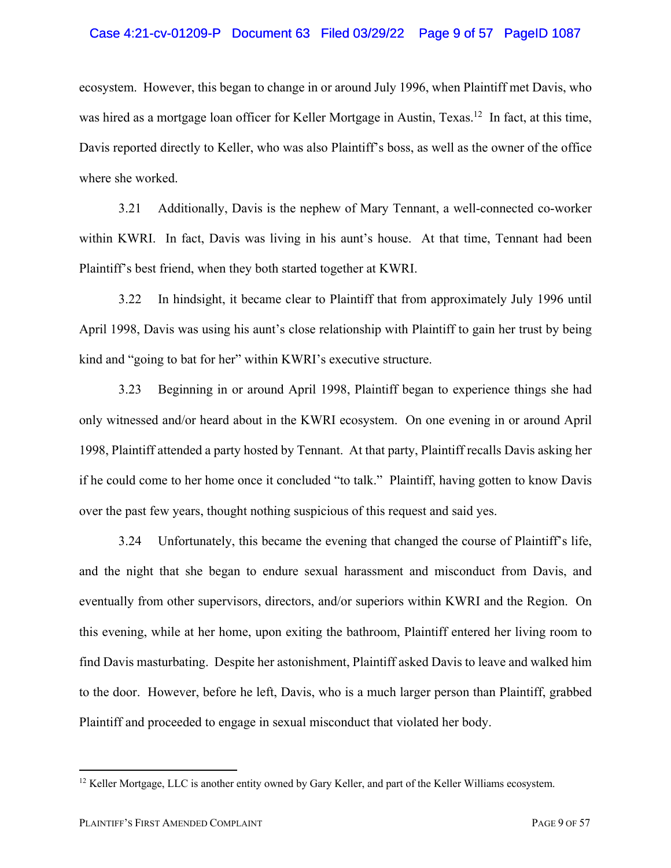#### Case 4:21-cv-01209-P Document 63 Filed 03/29/22 Page 9 of 57 PageID 1087

ecosystem. However, this began to change in or around July 1996, when Plaintiff met Davis, who was hired as a mortgage loan officer for Keller Mortgage in Austin, Texas.<sup>12</sup> In fact, at this time, Davis reported directly to Keller, who was also Plaintiff's boss, as well as the owner of the office where she worked.

3.21 Additionally, Davis is the nephew of Mary Tennant, a well-connected co-worker within KWRI. In fact, Davis was living in his aunt's house. At that time, Tennant had been Plaintiff's best friend, when they both started together at KWRI.

3.22 In hindsight, it became clear to Plaintiff that from approximately July 1996 until April 1998, Davis was using his aunt's close relationship with Plaintiff to gain her trust by being kind and "going to bat for her" within KWRI's executive structure.

3.23 Beginning in or around April 1998, Plaintiff began to experience things she had only witnessed and/or heard about in the KWRI ecosystem. On one evening in or around April 1998, Plaintiff attended a party hosted by Tennant. At that party, Plaintiff recalls Davis asking her if he could come to her home once it concluded "to talk." Plaintiff, having gotten to know Davis over the past few years, thought nothing suspicious of this request and said yes.

3.24 Unfortunately, this became the evening that changed the course of Plaintiff's life, and the night that she began to endure sexual harassment and misconduct from Davis, and eventually from other supervisors, directors, and/or superiors within KWRI and the Region. On this evening, while at her home, upon exiting the bathroom, Plaintiff entered her living room to find Davis masturbating. Despite her astonishment, Plaintiff asked Davis to leave and walked him to the door. However, before he left, Davis, who is a much larger person than Plaintiff, grabbed Plaintiff and proceeded to engage in sexual misconduct that violated her body.

<sup>&</sup>lt;sup>12</sup> Keller Mortgage, LLC is another entity owned by Gary Keller, and part of the Keller Williams ecosystem.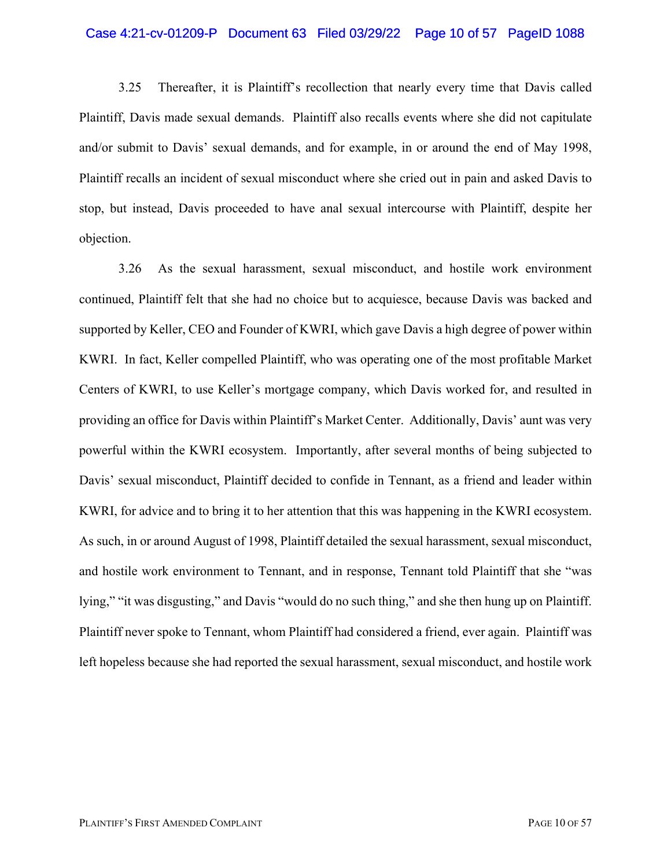#### Case 4:21-cv-01209-P Document 63 Filed 03/29/22 Page 10 of 57 PageID 1088

3.25 Thereafter, it is Plaintiff's recollection that nearly every time that Davis called Plaintiff, Davis made sexual demands. Plaintiff also recalls events where she did not capitulate and/or submit to Davis' sexual demands, and for example, in or around the end of May 1998, Plaintiff recalls an incident of sexual misconduct where she cried out in pain and asked Davis to stop, but instead, Davis proceeded to have anal sexual intercourse with Plaintiff, despite her objection.

3.26 As the sexual harassment, sexual misconduct, and hostile work environment continued, Plaintiff felt that she had no choice but to acquiesce, because Davis was backed and supported by Keller, CEO and Founder of KWRI, which gave Davis a high degree of power within KWRI. In fact, Keller compelled Plaintiff, who was operating one of the most profitable Market Centers of KWRI, to use Keller's mortgage company, which Davis worked for, and resulted in providing an office for Davis within Plaintiff's Market Center. Additionally, Davis' aunt was very powerful within the KWRI ecosystem. Importantly, after several months of being subjected to Davis' sexual misconduct, Plaintiff decided to confide in Tennant, as a friend and leader within KWRI, for advice and to bring it to her attention that this was happening in the KWRI ecosystem. As such, in or around August of 1998, Plaintiff detailed the sexual harassment, sexual misconduct, and hostile work environment to Tennant, and in response, Tennant told Plaintiff that she "was lying," "it was disgusting," and Davis "would do no such thing," and she then hung up on Plaintiff. Plaintiff never spoke to Tennant, whom Plaintiff had considered a friend, ever again. Plaintiff was left hopeless because she had reported the sexual harassment, sexual misconduct, and hostile work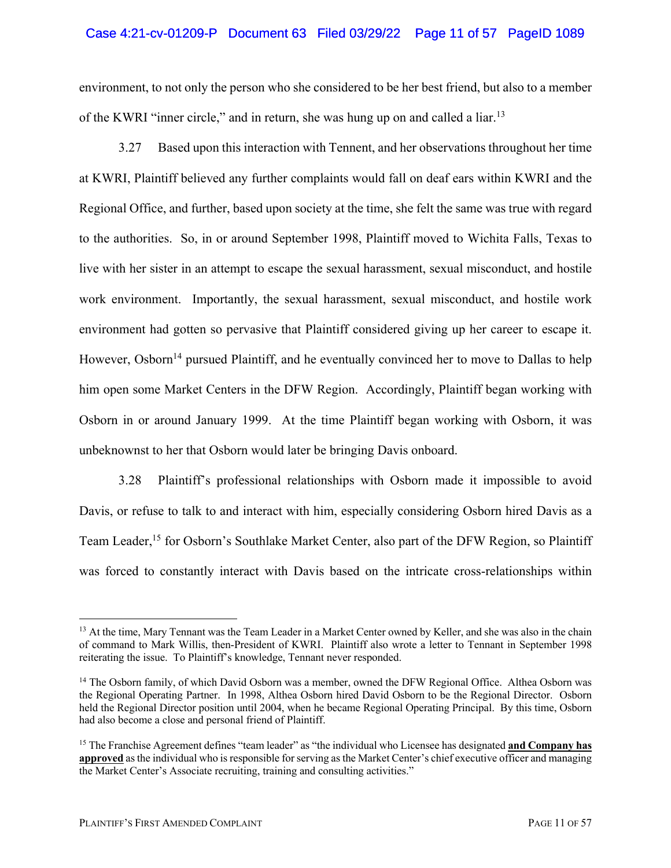### Case 4:21-cv-01209-P Document 63 Filed 03/29/22 Page 11 of 57 PageID 1089

environment, to not only the person who she considered to be her best friend, but also to a member of the KWRI "inner circle," and in return, she was hung up on and called a liar.<sup>13</sup>

3.27 Based upon this interaction with Tennent, and her observations throughout her time at KWRI, Plaintiff believed any further complaints would fall on deaf ears within KWRI and the Regional Office, and further, based upon society at the time, she felt the same was true with regard to the authorities. So, in or around September 1998, Plaintiff moved to Wichita Falls, Texas to live with her sister in an attempt to escape the sexual harassment, sexual misconduct, and hostile work environment. Importantly, the sexual harassment, sexual misconduct, and hostile work environment had gotten so pervasive that Plaintiff considered giving up her career to escape it. However, Osborn<sup>14</sup> pursued Plaintiff, and he eventually convinced her to move to Dallas to help him open some Market Centers in the DFW Region. Accordingly, Plaintiff began working with Osborn in or around January 1999. At the time Plaintiff began working with Osborn, it was unbeknownst to her that Osborn would later be bringing Davis onboard.

3.28 Plaintiff's professional relationships with Osborn made it impossible to avoid Davis, or refuse to talk to and interact with him, especially considering Osborn hired Davis as a Team Leader,<sup>15</sup> for Osborn's Southlake Market Center, also part of the DFW Region, so Plaintiff was forced to constantly interact with Davis based on the intricate cross-relationships within

<sup>&</sup>lt;sup>13</sup> At the time, Mary Tennant was the Team Leader in a Market Center owned by Keller, and she was also in the chain of command to Mark Willis, then-President of KWRI. Plaintiff also wrote a letter to Tennant in September 1998 reiterating the issue. To Plaintiff's knowledge, Tennant never responded.

<sup>&</sup>lt;sup>14</sup> The Osborn family, of which David Osborn was a member, owned the DFW Regional Office. Althea Osborn was the Regional Operating Partner. In 1998, Althea Osborn hired David Osborn to be the Regional Director. Osborn held the Regional Director position until 2004, when he became Regional Operating Principal. By this time, Osborn had also become a close and personal friend of Plaintiff.

<sup>15</sup> The Franchise Agreement defines "team leader" as "the individual who Licensee has designated **and Company has approved** as the individual who is responsible for serving as the Market Center's chief executive officer and managing the Market Center's Associate recruiting, training and consulting activities."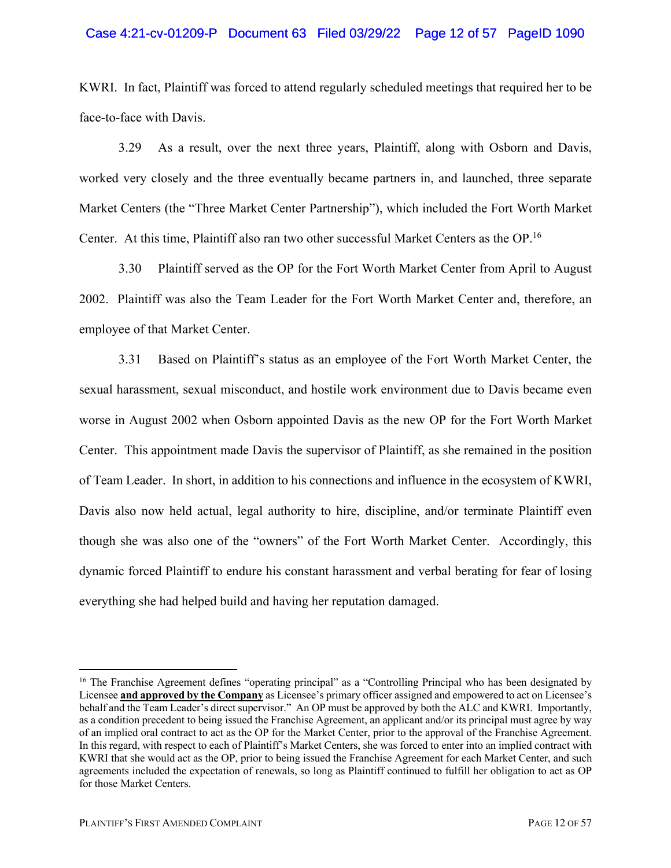### Case 4:21-cv-01209-P Document 63 Filed 03/29/22 Page 12 of 57 PageID 1090

KWRI. In fact, Plaintiff was forced to attend regularly scheduled meetings that required her to be face-to-face with Davis.

3.29 As a result, over the next three years, Plaintiff, along with Osborn and Davis, worked very closely and the three eventually became partners in, and launched, three separate Market Centers (the "Three Market Center Partnership"), which included the Fort Worth Market Center. At this time, Plaintiff also ran two other successful Market Centers as the OP.16

3.30 Plaintiff served as the OP for the Fort Worth Market Center from April to August 2002. Plaintiff was also the Team Leader for the Fort Worth Market Center and, therefore, an employee of that Market Center.

3.31 Based on Plaintiff's status as an employee of the Fort Worth Market Center, the sexual harassment, sexual misconduct, and hostile work environment due to Davis became even worse in August 2002 when Osborn appointed Davis as the new OP for the Fort Worth Market Center. This appointment made Davis the supervisor of Plaintiff, as she remained in the position of Team Leader. In short, in addition to his connections and influence in the ecosystem of KWRI, Davis also now held actual, legal authority to hire, discipline, and/or terminate Plaintiff even though she was also one of the "owners" of the Fort Worth Market Center. Accordingly, this dynamic forced Plaintiff to endure his constant harassment and verbal berating for fear of losing everything she had helped build and having her reputation damaged.

<sup>&</sup>lt;sup>16</sup> The Franchise Agreement defines "operating principal" as a "Controlling Principal who has been designated by Licensee **and approved by the Company** as Licensee's primary officer assigned and empowered to act on Licensee's behalf and the Team Leader's direct supervisor." An OP must be approved by both the ALC and KWRI. Importantly, as a condition precedent to being issued the Franchise Agreement, an applicant and/or its principal must agree by way of an implied oral contract to act as the OP for the Market Center, prior to the approval of the Franchise Agreement. In this regard, with respect to each of Plaintiff's Market Centers, she was forced to enter into an implied contract with KWRI that she would act as the OP, prior to being issued the Franchise Agreement for each Market Center, and such agreements included the expectation of renewals, so long as Plaintiff continued to fulfill her obligation to act as OP for those Market Centers.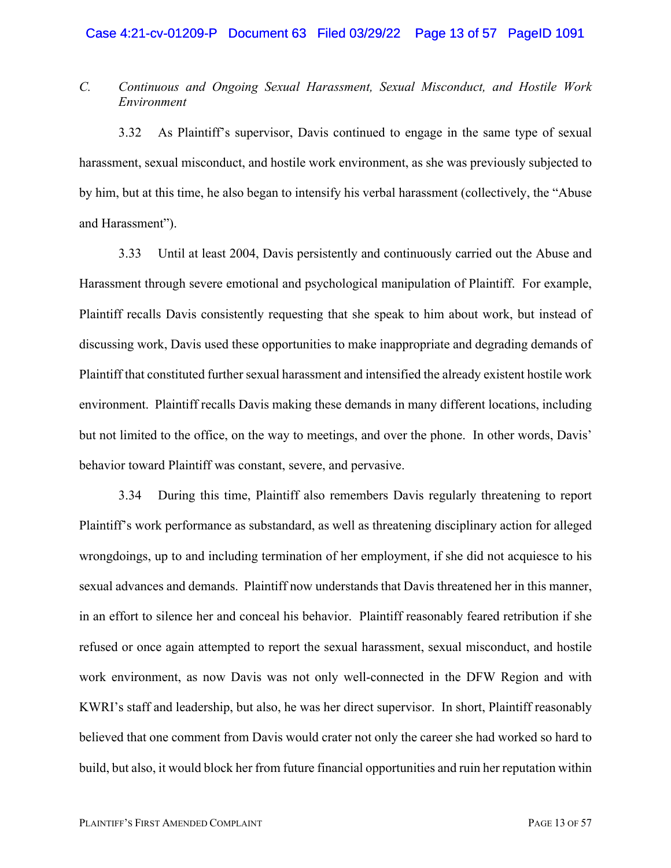# *C. Continuous and Ongoing Sexual Harassment, Sexual Misconduct, and Hostile Work Environment*

3.32 As Plaintiff's supervisor, Davis continued to engage in the same type of sexual harassment, sexual misconduct, and hostile work environment, as she was previously subjected to by him, but at this time, he also began to intensify his verbal harassment (collectively, the "Abuse and Harassment").

3.33 Until at least 2004, Davis persistently and continuously carried out the Abuse and Harassment through severe emotional and psychological manipulation of Plaintiff. For example, Plaintiff recalls Davis consistently requesting that she speak to him about work, but instead of discussing work, Davis used these opportunities to make inappropriate and degrading demands of Plaintiff that constituted further sexual harassment and intensified the already existent hostile work environment. Plaintiff recalls Davis making these demands in many different locations, including but not limited to the office, on the way to meetings, and over the phone. In other words, Davis' behavior toward Plaintiff was constant, severe, and pervasive.

3.34 During this time, Plaintiff also remembers Davis regularly threatening to report Plaintiff's work performance as substandard, as well as threatening disciplinary action for alleged wrongdoings, up to and including termination of her employment, if she did not acquiesce to his sexual advances and demands. Plaintiff now understands that Davis threatened her in this manner, in an effort to silence her and conceal his behavior. Plaintiff reasonably feared retribution if she refused or once again attempted to report the sexual harassment, sexual misconduct, and hostile work environment, as now Davis was not only well-connected in the DFW Region and with KWRI's staff and leadership, but also, he was her direct supervisor. In short, Plaintiff reasonably believed that one comment from Davis would crater not only the career she had worked so hard to build, but also, it would block her from future financial opportunities and ruin her reputation within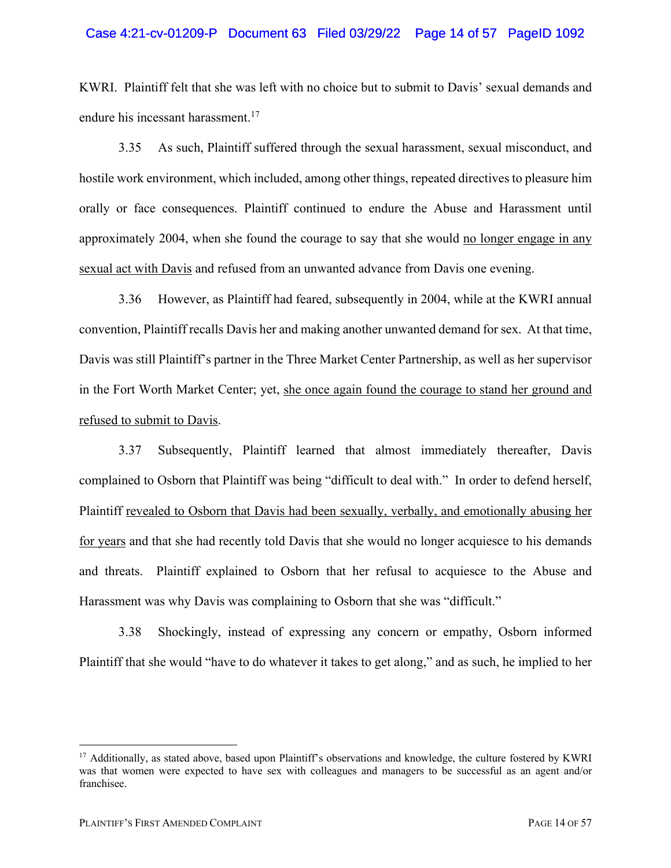### Case 4:21-cv-01209-P Document 63 Filed 03/29/22 Page 14 of 57 PageID 1092

KWRI. Plaintiff felt that she was left with no choice but to submit to Davis' sexual demands and endure his incessant harassment. 17

3.35 As such, Plaintiff suffered through the sexual harassment, sexual misconduct, and hostile work environment, which included, among other things, repeated directives to pleasure him orally or face consequences. Plaintiff continued to endure the Abuse and Harassment until approximately 2004, when she found the courage to say that she would no longer engage in any sexual act with Davis and refused from an unwanted advance from Davis one evening.

3.36 However, as Plaintiff had feared, subsequently in 2004, while at the KWRI annual convention, Plaintiff recalls Davis her and making another unwanted demand for sex. At that time, Davis was still Plaintiff's partner in the Three Market Center Partnership, as well as her supervisor in the Fort Worth Market Center; yet, she once again found the courage to stand her ground and refused to submit to Davis.

3.37 Subsequently, Plaintiff learned that almost immediately thereafter, Davis complained to Osborn that Plaintiff was being "difficult to deal with." In order to defend herself, Plaintiff revealed to Osborn that Davis had been sexually, verbally, and emotionally abusing her for years and that she had recently told Davis that she would no longer acquiesce to his demands and threats. Plaintiff explained to Osborn that her refusal to acquiesce to the Abuse and Harassment was why Davis was complaining to Osborn that she was "difficult."

3.38 Shockingly, instead of expressing any concern or empathy, Osborn informed Plaintiff that she would "have to do whatever it takes to get along," and as such, he implied to her

<sup>&</sup>lt;sup>17</sup> Additionally, as stated above, based upon Plaintiff's observations and knowledge, the culture fostered by KWRI was that women were expected to have sex with colleagues and managers to be successful as an agent and/or franchisee.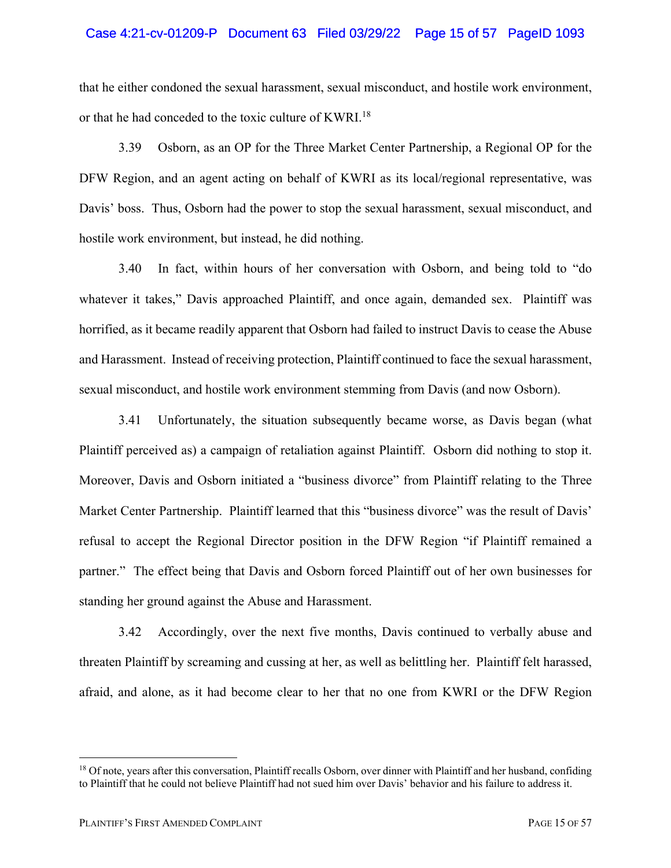#### Case 4:21-cv-01209-P Document 63 Filed 03/29/22 Page 15 of 57 PageID 1093

that he either condoned the sexual harassment, sexual misconduct, and hostile work environment, or that he had conceded to the toxic culture of KWRI.18

3.39 Osborn, as an OP for the Three Market Center Partnership, a Regional OP for the DFW Region, and an agent acting on behalf of KWRI as its local/regional representative, was Davis' boss. Thus, Osborn had the power to stop the sexual harassment, sexual misconduct, and hostile work environment, but instead, he did nothing.

3.40 In fact, within hours of her conversation with Osborn, and being told to "do whatever it takes," Davis approached Plaintiff, and once again, demanded sex. Plaintiff was horrified, as it became readily apparent that Osborn had failed to instruct Davis to cease the Abuse and Harassment. Instead of receiving protection, Plaintiff continued to face the sexual harassment, sexual misconduct, and hostile work environment stemming from Davis (and now Osborn).

3.41 Unfortunately, the situation subsequently became worse, as Davis began (what Plaintiff perceived as) a campaign of retaliation against Plaintiff. Osborn did nothing to stop it. Moreover, Davis and Osborn initiated a "business divorce" from Plaintiff relating to the Three Market Center Partnership. Plaintiff learned that this "business divorce" was the result of Davis' refusal to accept the Regional Director position in the DFW Region "if Plaintiff remained a partner." The effect being that Davis and Osborn forced Plaintiff out of her own businesses for standing her ground against the Abuse and Harassment.

3.42 Accordingly, over the next five months, Davis continued to verbally abuse and threaten Plaintiff by screaming and cussing at her, as well as belittling her. Plaintiff felt harassed, afraid, and alone, as it had become clear to her that no one from KWRI or the DFW Region

<sup>&</sup>lt;sup>18</sup> Of note, years after this conversation, Plaintiff recalls Osborn, over dinner with Plaintiff and her husband, confiding to Plaintiff that he could not believe Plaintiff had not sued him over Davis' behavior and his failure to address it.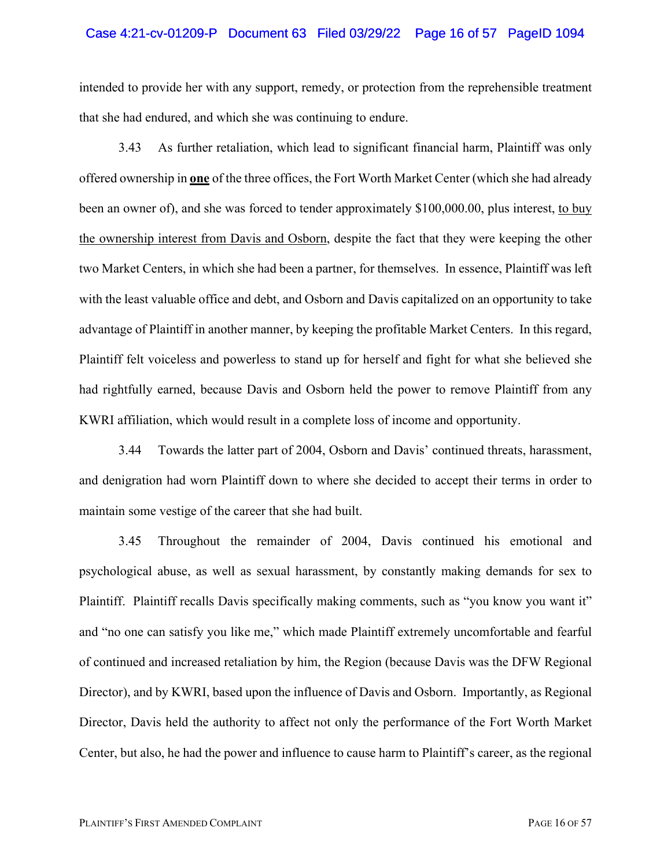#### Case 4:21-cv-01209-P Document 63 Filed 03/29/22 Page 16 of 57 PageID 1094

intended to provide her with any support, remedy, or protection from the reprehensible treatment that she had endured, and which she was continuing to endure.

3.43 As further retaliation, which lead to significant financial harm, Plaintiff was only offered ownership in **one** of the three offices, the Fort Worth Market Center (which she had already been an owner of), and she was forced to tender approximately \$100,000.00, plus interest, to buy the ownership interest from Davis and Osborn, despite the fact that they were keeping the other two Market Centers, in which she had been a partner, for themselves. In essence, Plaintiff was left with the least valuable office and debt, and Osborn and Davis capitalized on an opportunity to take advantage of Plaintiff in another manner, by keeping the profitable Market Centers. In this regard, Plaintiff felt voiceless and powerless to stand up for herself and fight for what she believed she had rightfully earned, because Davis and Osborn held the power to remove Plaintiff from any KWRI affiliation, which would result in a complete loss of income and opportunity.

3.44 Towards the latter part of 2004, Osborn and Davis' continued threats, harassment, and denigration had worn Plaintiff down to where she decided to accept their terms in order to maintain some vestige of the career that she had built.

3.45 Throughout the remainder of 2004, Davis continued his emotional and psychological abuse, as well as sexual harassment, by constantly making demands for sex to Plaintiff. Plaintiff recalls Davis specifically making comments, such as "you know you want it" and "no one can satisfy you like me," which made Plaintiff extremely uncomfortable and fearful of continued and increased retaliation by him, the Region (because Davis was the DFW Regional Director), and by KWRI, based upon the influence of Davis and Osborn. Importantly, as Regional Director, Davis held the authority to affect not only the performance of the Fort Worth Market Center, but also, he had the power and influence to cause harm to Plaintiff's career, as the regional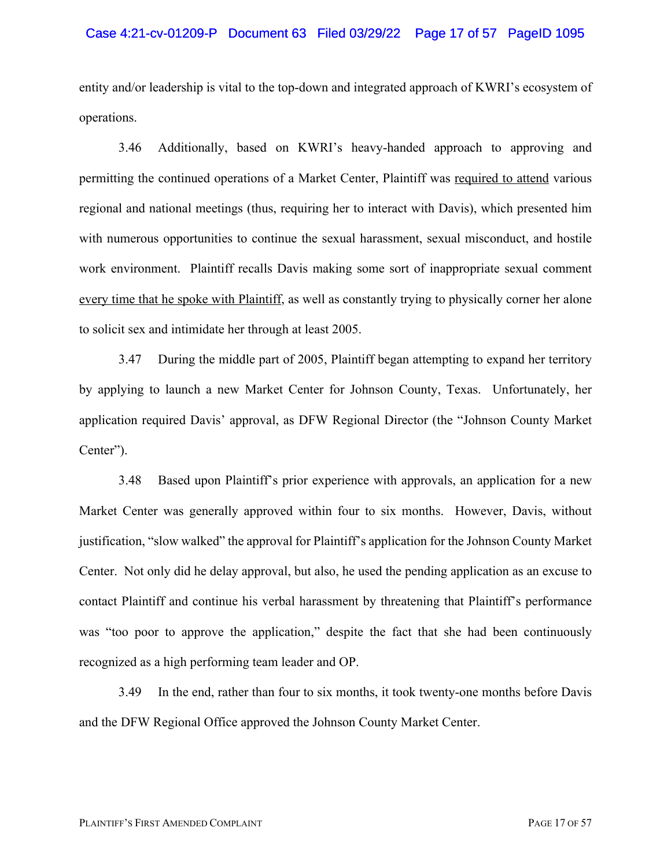#### Case 4:21-cv-01209-P Document 63 Filed 03/29/22 Page 17 of 57 PageID 1095

entity and/or leadership is vital to the top-down and integrated approach of KWRI's ecosystem of operations.

3.46 Additionally, based on KWRI's heavy-handed approach to approving and permitting the continued operations of a Market Center, Plaintiff was required to attend various regional and national meetings (thus, requiring her to interact with Davis), which presented him with numerous opportunities to continue the sexual harassment, sexual misconduct, and hostile work environment. Plaintiff recalls Davis making some sort of inappropriate sexual comment every time that he spoke with Plaintiff, as well as constantly trying to physically corner her alone to solicit sex and intimidate her through at least 2005.

3.47 During the middle part of 2005, Plaintiff began attempting to expand her territory by applying to launch a new Market Center for Johnson County, Texas. Unfortunately, her application required Davis' approval, as DFW Regional Director (the "Johnson County Market Center").

3.48 Based upon Plaintiff's prior experience with approvals, an application for a new Market Center was generally approved within four to six months. However, Davis, without justification, "slow walked" the approval for Plaintiff's application for the Johnson County Market Center. Not only did he delay approval, but also, he used the pending application as an excuse to contact Plaintiff and continue his verbal harassment by threatening that Plaintiff's performance was "too poor to approve the application," despite the fact that she had been continuously recognized as a high performing team leader and OP.

3.49 In the end, rather than four to six months, it took twenty-one months before Davis and the DFW Regional Office approved the Johnson County Market Center.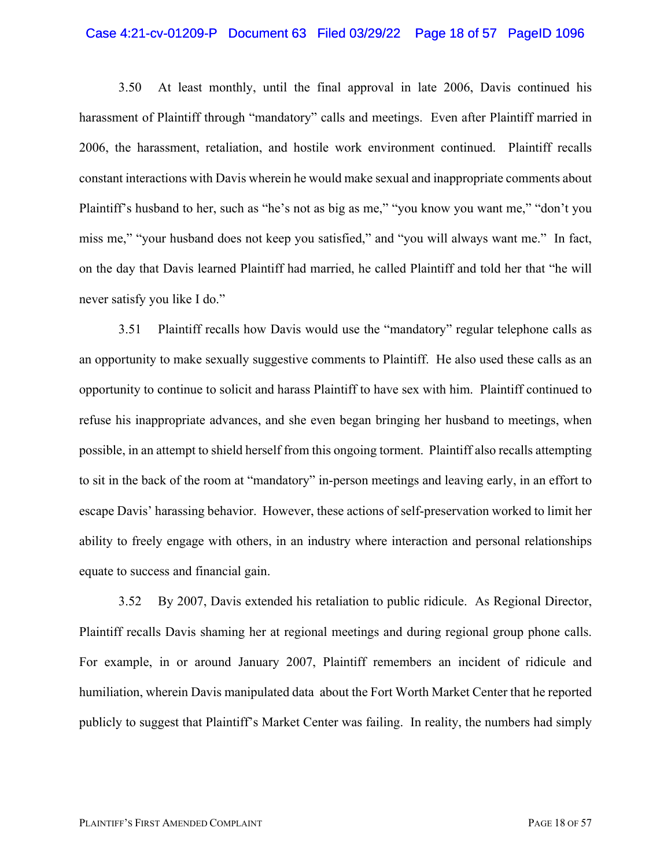#### Case 4:21-cv-01209-P Document 63 Filed 03/29/22 Page 18 of 57 PageID 1096

3.50 At least monthly, until the final approval in late 2006, Davis continued his harassment of Plaintiff through "mandatory" calls and meetings. Even after Plaintiff married in 2006, the harassment, retaliation, and hostile work environment continued. Plaintiff recalls constant interactions with Davis wherein he would make sexual and inappropriate comments about Plaintiff's husband to her, such as "he's not as big as me," "you know you want me," "don't you miss me," "your husband does not keep you satisfied," and "you will always want me." In fact, on the day that Davis learned Plaintiff had married, he called Plaintiff and told her that "he will never satisfy you like I do."

3.51 Plaintiff recalls how Davis would use the "mandatory" regular telephone calls as an opportunity to make sexually suggestive comments to Plaintiff. He also used these calls as an opportunity to continue to solicit and harass Plaintiff to have sex with him. Plaintiff continued to refuse his inappropriate advances, and she even began bringing her husband to meetings, when possible, in an attempt to shield herself from this ongoing torment. Plaintiff also recalls attempting to sit in the back of the room at "mandatory" in-person meetings and leaving early, in an effort to escape Davis' harassing behavior. However, these actions of self-preservation worked to limit her ability to freely engage with others, in an industry where interaction and personal relationships equate to success and financial gain.

3.52 By 2007, Davis extended his retaliation to public ridicule. As Regional Director, Plaintiff recalls Davis shaming her at regional meetings and during regional group phone calls. For example, in or around January 2007, Plaintiff remembers an incident of ridicule and humiliation, wherein Davis manipulated data about the Fort Worth Market Center that he reported publicly to suggest that Plaintiff's Market Center was failing. In reality, the numbers had simply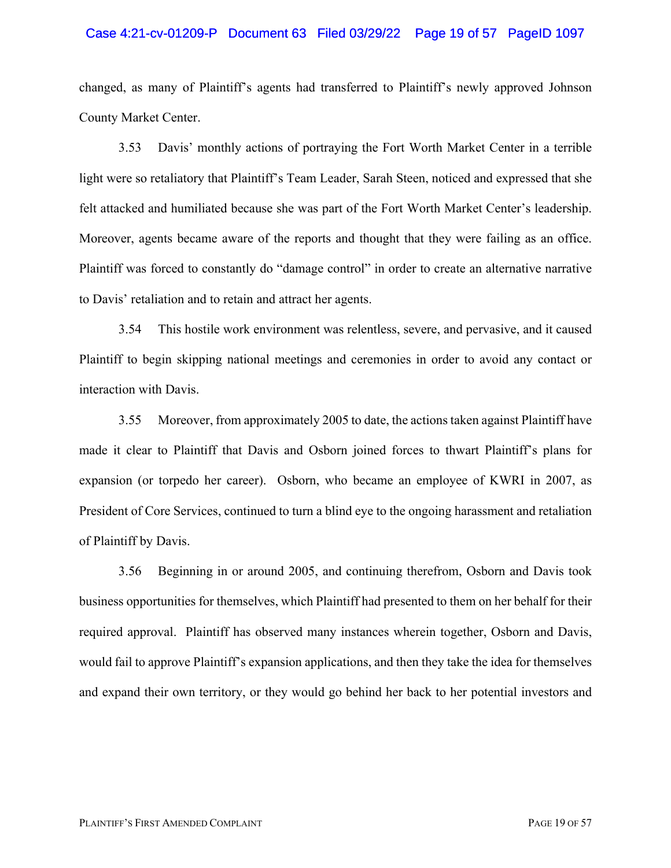#### Case 4:21-cv-01209-P Document 63 Filed 03/29/22 Page 19 of 57 PageID 1097

changed, as many of Plaintiff's agents had transferred to Plaintiff's newly approved Johnson County Market Center.

3.53 Davis' monthly actions of portraying the Fort Worth Market Center in a terrible light were so retaliatory that Plaintiff's Team Leader, Sarah Steen, noticed and expressed that she felt attacked and humiliated because she was part of the Fort Worth Market Center's leadership. Moreover, agents became aware of the reports and thought that they were failing as an office. Plaintiff was forced to constantly do "damage control" in order to create an alternative narrative to Davis' retaliation and to retain and attract her agents.

3.54 This hostile work environment was relentless, severe, and pervasive, and it caused Plaintiff to begin skipping national meetings and ceremonies in order to avoid any contact or interaction with Davis.

3.55 Moreover, from approximately 2005 to date, the actions taken against Plaintiff have made it clear to Plaintiff that Davis and Osborn joined forces to thwart Plaintiff's plans for expansion (or torpedo her career). Osborn, who became an employee of KWRI in 2007, as President of Core Services, continued to turn a blind eye to the ongoing harassment and retaliation of Plaintiff by Davis.

3.56 Beginning in or around 2005, and continuing therefrom, Osborn and Davis took business opportunities for themselves, which Plaintiff had presented to them on her behalf for their required approval. Plaintiff has observed many instances wherein together, Osborn and Davis, would fail to approve Plaintiff's expansion applications, and then they take the idea for themselves and expand their own territory, or they would go behind her back to her potential investors and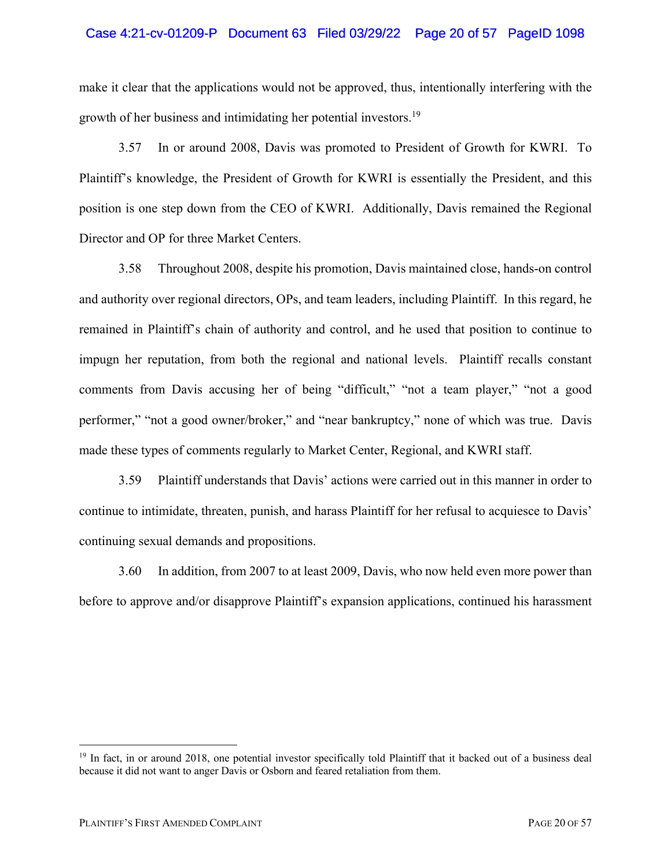### Case 4:21-cv-01209-P Document 63 Filed 03/29/22 Page 20 of 57 PageID 1098

make it clear that the applications would not be approved, thus, intentionally interfering with the growth of her business and intimidating her potential investors.<sup>19</sup>

3.57 In or around 2008, Davis was promoted to President of Growth for KWRI. To Plaintiff's knowledge, the President of Growth for KWRI is essentially the President, and this position is one step down from the CEO of KWRI. Additionally, Davis remained the Regional Director and OP for three Market Centers.

3.58 Throughout 2008, despite his promotion, Davis maintained close, hands-on control and authority over regional directors, OPs, and team leaders, including Plaintiff. In this regard, he remained in Plaintiff's chain of authority and control, and he used that position to continue to impugn her reputation, from both the regional and national levels. Plaintiff recalls constant comments from Davis accusing her of being "difficult," "not a team player," "not a good performer," "not a good owner/broker," and "near bankruptcy," none of which was true. Davis made these types of comments regularly to Market Center, Regional, and KWRI staff.

3.59 Plaintiff understands that Davis' actions were carried out in this manner in order to continue to intimidate, threaten, punish, and harass Plaintiff for her refusal to acquiesce to Davis' continuing sexual demands and propositions.

3.60 In addition, from 2007 to at least 2009, Davis, who now held even more power than before to approve and/or disapprove Plaintiff's expansion applications, continued his harassment

<sup>&</sup>lt;sup>19</sup> In fact, in or around 2018, one potential investor specifically told Plaintiff that it backed out of a business deal because it did not want to anger Davis or Osborn and feared retaliation from them.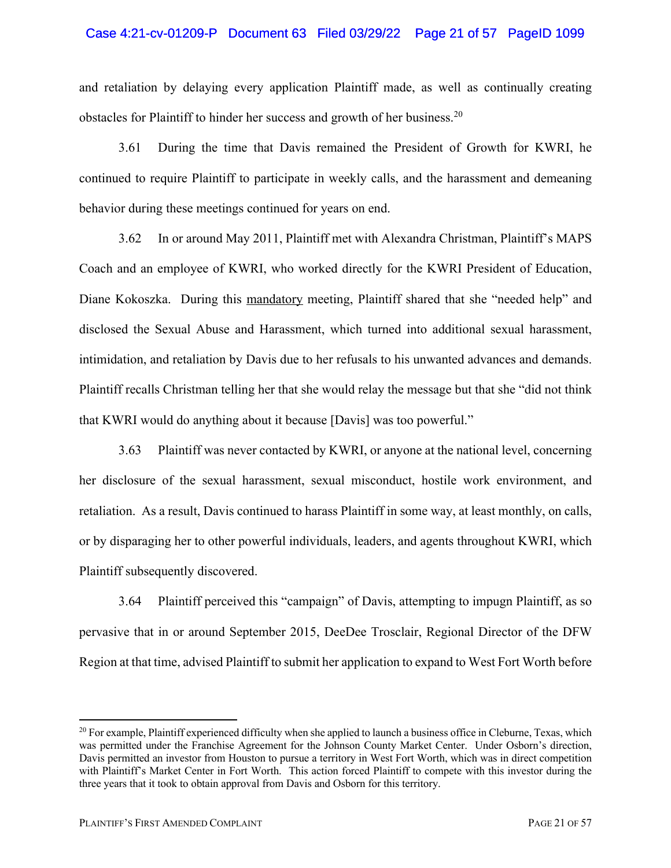### Case 4:21-cv-01209-P Document 63 Filed 03/29/22 Page 21 of 57 PageID 1099

and retaliation by delaying every application Plaintiff made, as well as continually creating obstacles for Plaintiff to hinder her success and growth of her business.<sup>20</sup>

3.61 During the time that Davis remained the President of Growth for KWRI, he continued to require Plaintiff to participate in weekly calls, and the harassment and demeaning behavior during these meetings continued for years on end.

3.62 In or around May 2011, Plaintiff met with Alexandra Christman, Plaintiff's MAPS Coach and an employee of KWRI, who worked directly for the KWRI President of Education, Diane Kokoszka. During this mandatory meeting, Plaintiff shared that she "needed help" and disclosed the Sexual Abuse and Harassment, which turned into additional sexual harassment, intimidation, and retaliation by Davis due to her refusals to his unwanted advances and demands. Plaintiff recalls Christman telling her that she would relay the message but that she "did not think that KWRI would do anything about it because [Davis] was too powerful."

3.63 Plaintiff was never contacted by KWRI, or anyone at the national level, concerning her disclosure of the sexual harassment, sexual misconduct, hostile work environment, and retaliation. As a result, Davis continued to harass Plaintiff in some way, at least monthly, on calls, or by disparaging her to other powerful individuals, leaders, and agents throughout KWRI, which Plaintiff subsequently discovered.

3.64 Plaintiff perceived this "campaign" of Davis, attempting to impugn Plaintiff, as so pervasive that in or around September 2015, DeeDee Trosclair, Regional Director of the DFW Region at that time, advised Plaintiff to submit her application to expand to West Fort Worth before

<sup>&</sup>lt;sup>20</sup> For example, Plaintiff experienced difficulty when she applied to launch a business office in Cleburne, Texas, which was permitted under the Franchise Agreement for the Johnson County Market Center. Under Osborn's direction, Davis permitted an investor from Houston to pursue a territory in West Fort Worth, which was in direct competition with Plaintiff's Market Center in Fort Worth. This action forced Plaintiff to compete with this investor during the three years that it took to obtain approval from Davis and Osborn for this territory.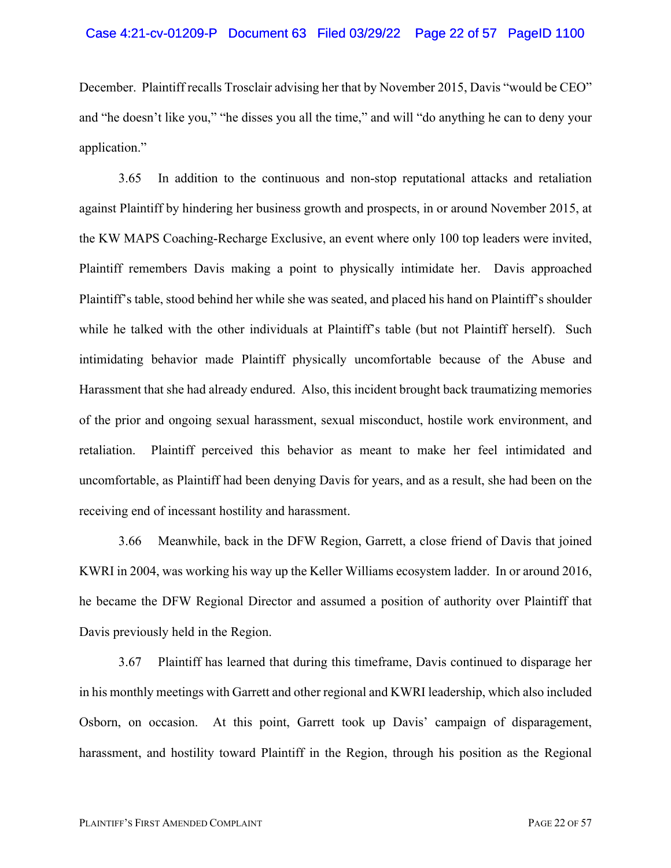#### Case 4:21-cv-01209-P Document 63 Filed 03/29/22 Page 22 of 57 PageID 1100

December. Plaintiff recalls Trosclair advising her that by November 2015, Davis "would be CEO" and "he doesn't like you," "he disses you all the time," and will "do anything he can to deny your application."

3.65 In addition to the continuous and non-stop reputational attacks and retaliation against Plaintiff by hindering her business growth and prospects, in or around November 2015, at the KW MAPS Coaching-Recharge Exclusive, an event where only 100 top leaders were invited, Plaintiff remembers Davis making a point to physically intimidate her. Davis approached Plaintiff's table, stood behind her while she was seated, and placed his hand on Plaintiff's shoulder while he talked with the other individuals at Plaintiff's table (but not Plaintiff herself). Such intimidating behavior made Plaintiff physically uncomfortable because of the Abuse and Harassment that she had already endured. Also, this incident brought back traumatizing memories of the prior and ongoing sexual harassment, sexual misconduct, hostile work environment, and retaliation. Plaintiff perceived this behavior as meant to make her feel intimidated and uncomfortable, as Plaintiff had been denying Davis for years, and as a result, she had been on the receiving end of incessant hostility and harassment.

3.66 Meanwhile, back in the DFW Region, Garrett, a close friend of Davis that joined KWRI in 2004, was working his way up the Keller Williams ecosystem ladder. In or around 2016, he became the DFW Regional Director and assumed a position of authority over Plaintiff that Davis previously held in the Region.

3.67 Plaintiff has learned that during this timeframe, Davis continued to disparage her in his monthly meetings with Garrett and other regional and KWRI leadership, which also included Osborn, on occasion. At this point, Garrett took up Davis' campaign of disparagement, harassment, and hostility toward Plaintiff in the Region, through his position as the Regional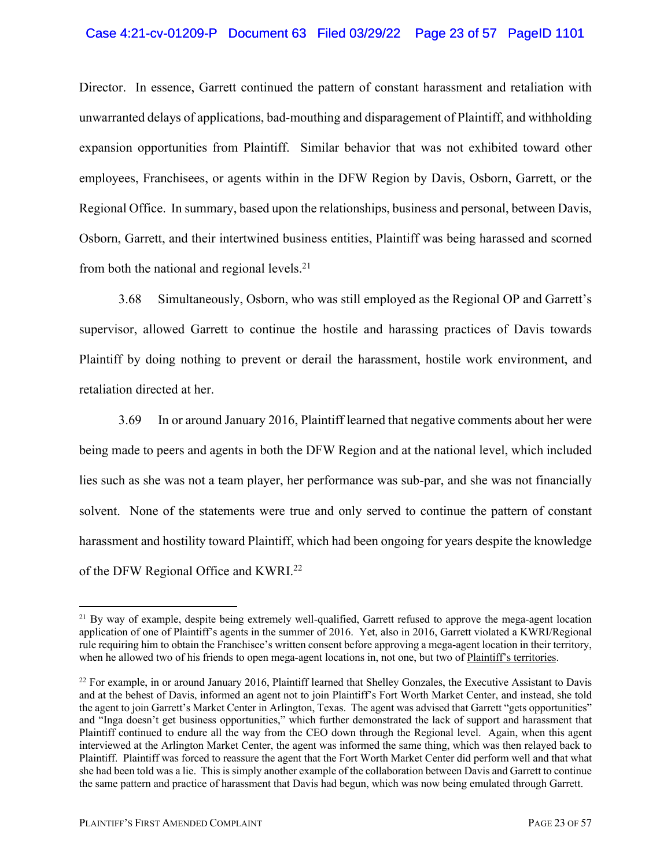### Case 4:21-cv-01209-P Document 63 Filed 03/29/22 Page 23 of 57 PageID 1101

Director. In essence, Garrett continued the pattern of constant harassment and retaliation with unwarranted delays of applications, bad-mouthing and disparagement of Plaintiff, and withholding expansion opportunities from Plaintiff. Similar behavior that was not exhibited toward other employees, Franchisees, or agents within in the DFW Region by Davis, Osborn, Garrett, or the Regional Office. In summary, based upon the relationships, business and personal, between Davis, Osborn, Garrett, and their intertwined business entities, Plaintiff was being harassed and scorned from both the national and regional levels.<sup>21</sup>

3.68 Simultaneously, Osborn, who was still employed as the Regional OP and Garrett's supervisor, allowed Garrett to continue the hostile and harassing practices of Davis towards Plaintiff by doing nothing to prevent or derail the harassment, hostile work environment, and retaliation directed at her.

3.69 In or around January 2016, Plaintiff learned that negative comments about her were being made to peers and agents in both the DFW Region and at the national level, which included lies such as she was not a team player, her performance was sub-par, and she was not financially solvent. None of the statements were true and only served to continue the pattern of constant harassment and hostility toward Plaintiff, which had been ongoing for years despite the knowledge of the DFW Regional Office and KWRI.<sup>22</sup>

<sup>&</sup>lt;sup>21</sup> By way of example, despite being extremely well-qualified, Garrett refused to approve the mega-agent location application of one of Plaintiff's agents in the summer of 2016. Yet, also in 2016, Garrett violated a KWRI/Regional rule requiring him to obtain the Franchisee's written consent before approving a mega-agent location in their territory, when he allowed two of his friends to open mega-agent locations in, not one, but two of Plaintiff's territories.

<sup>&</sup>lt;sup>22</sup> For example, in or around January 2016, Plaintiff learned that Shelley Gonzales, the Executive Assistant to Davis and at the behest of Davis, informed an agent not to join Plaintiff's Fort Worth Market Center, and instead, she told the agent to join Garrett's Market Center in Arlington, Texas. The agent was advised that Garrett "gets opportunities" and "Inga doesn't get business opportunities," which further demonstrated the lack of support and harassment that Plaintiff continued to endure all the way from the CEO down through the Regional level. Again, when this agent interviewed at the Arlington Market Center, the agent was informed the same thing, which was then relayed back to Plaintiff. Plaintiff was forced to reassure the agent that the Fort Worth Market Center did perform well and that what she had been told was a lie. This is simply another example of the collaboration between Davis and Garrett to continue the same pattern and practice of harassment that Davis had begun, which was now being emulated through Garrett.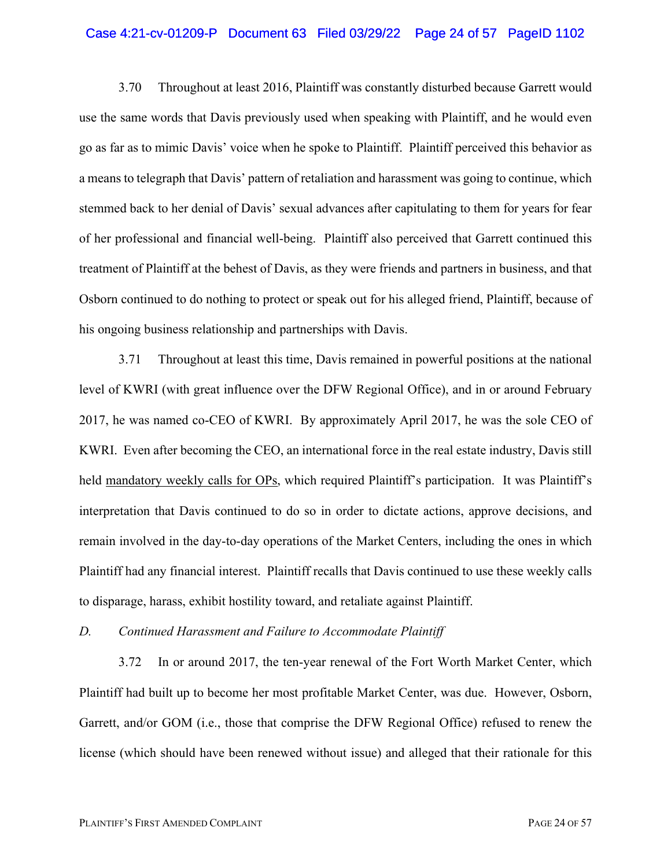#### Case 4:21-cv-01209-P Document 63 Filed 03/29/22 Page 24 of 57 PageID 1102

3.70 Throughout at least 2016, Plaintiff was constantly disturbed because Garrett would use the same words that Davis previously used when speaking with Plaintiff, and he would even go as far as to mimic Davis' voice when he spoke to Plaintiff. Plaintiff perceived this behavior as a means to telegraph that Davis' pattern of retaliation and harassment was going to continue, which stemmed back to her denial of Davis' sexual advances after capitulating to them for years for fear of her professional and financial well-being. Plaintiff also perceived that Garrett continued this treatment of Plaintiff at the behest of Davis, as they were friends and partners in business, and that Osborn continued to do nothing to protect or speak out for his alleged friend, Plaintiff, because of his ongoing business relationship and partnerships with Davis.

3.71 Throughout at least this time, Davis remained in powerful positions at the national level of KWRI (with great influence over the DFW Regional Office), and in or around February 2017, he was named co-CEO of KWRI. By approximately April 2017, he was the sole CEO of KWRI. Even after becoming the CEO, an international force in the real estate industry, Davis still held <u>mandatory weekly calls for OPs</u>, which required Plaintiff's participation. It was Plaintiff's interpretation that Davis continued to do so in order to dictate actions, approve decisions, and remain involved in the day-to-day operations of the Market Centers, including the ones in which Plaintiff had any financial interest. Plaintiff recalls that Davis continued to use these weekly calls to disparage, harass, exhibit hostility toward, and retaliate against Plaintiff.

#### *D. Continued Harassment and Failure to Accommodate Plaintiff*

3.72 In or around 2017, the ten-year renewal of the Fort Worth Market Center, which Plaintiff had built up to become her most profitable Market Center, was due. However, Osborn, Garrett, and/or GOM (i.e., those that comprise the DFW Regional Office) refused to renew the license (which should have been renewed without issue) and alleged that their rationale for this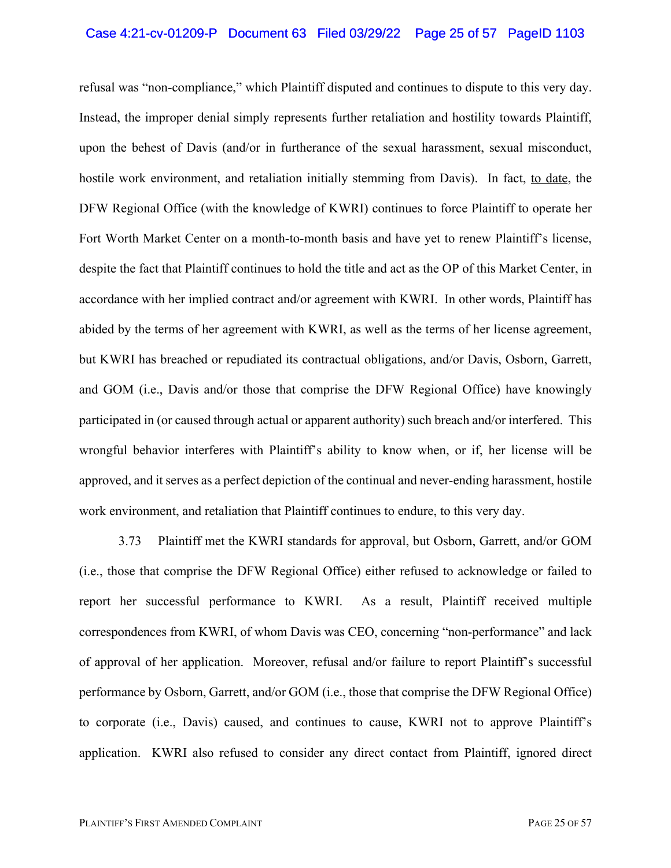#### Case 4:21-cv-01209-P Document 63 Filed 03/29/22 Page 25 of 57 PageID 1103

refusal was "non-compliance," which Plaintiff disputed and continues to dispute to this very day. Instead, the improper denial simply represents further retaliation and hostility towards Plaintiff, upon the behest of Davis (and/or in furtherance of the sexual harassment, sexual misconduct, hostile work environment, and retaliation initially stemming from Davis). In fact, to date, the DFW Regional Office (with the knowledge of KWRI) continues to force Plaintiff to operate her Fort Worth Market Center on a month-to-month basis and have yet to renew Plaintiff's license, despite the fact that Plaintiff continues to hold the title and act as the OP of this Market Center, in accordance with her implied contract and/or agreement with KWRI. In other words, Plaintiff has abided by the terms of her agreement with KWRI, as well as the terms of her license agreement, but KWRI has breached or repudiated its contractual obligations, and/or Davis, Osborn, Garrett, and GOM (i.e., Davis and/or those that comprise the DFW Regional Office) have knowingly participated in (or caused through actual or apparent authority) such breach and/or interfered. This wrongful behavior interferes with Plaintiff's ability to know when, or if, her license will be approved, and it serves as a perfect depiction of the continual and never-ending harassment, hostile work environment, and retaliation that Plaintiff continues to endure, to this very day.

3.73 Plaintiff met the KWRI standards for approval, but Osborn, Garrett, and/or GOM (i.e., those that comprise the DFW Regional Office) either refused to acknowledge or failed to report her successful performance to KWRI. As a result, Plaintiff received multiple correspondences from KWRI, of whom Davis was CEO, concerning "non-performance" and lack of approval of her application. Moreover, refusal and/or failure to report Plaintiff's successful performance by Osborn, Garrett, and/or GOM (i.e., those that comprise the DFW Regional Office) to corporate (i.e., Davis) caused, and continues to cause, KWRI not to approve Plaintiff's application. KWRI also refused to consider any direct contact from Plaintiff, ignored direct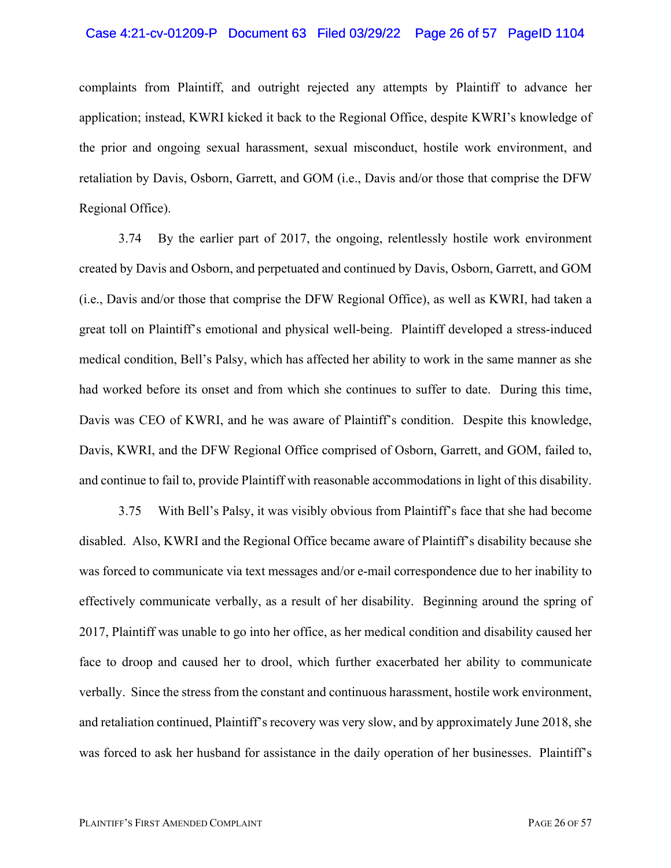#### Case 4:21-cv-01209-P Document 63 Filed 03/29/22 Page 26 of 57 PageID 1104

complaints from Plaintiff, and outright rejected any attempts by Plaintiff to advance her application; instead, KWRI kicked it back to the Regional Office, despite KWRI's knowledge of the prior and ongoing sexual harassment, sexual misconduct, hostile work environment, and retaliation by Davis, Osborn, Garrett, and GOM (i.e., Davis and/or those that comprise the DFW Regional Office).

3.74 By the earlier part of 2017, the ongoing, relentlessly hostile work environment created by Davis and Osborn, and perpetuated and continued by Davis, Osborn, Garrett, and GOM (i.e., Davis and/or those that comprise the DFW Regional Office), as well as KWRI, had taken a great toll on Plaintiff's emotional and physical well-being. Plaintiff developed a stress-induced medical condition, Bell's Palsy, which has affected her ability to work in the same manner as she had worked before its onset and from which she continues to suffer to date. During this time, Davis was CEO of KWRI, and he was aware of Plaintiff's condition. Despite this knowledge, Davis, KWRI, and the DFW Regional Office comprised of Osborn, Garrett, and GOM, failed to, and continue to fail to, provide Plaintiff with reasonable accommodations in light of this disability.

3.75 With Bell's Palsy, it was visibly obvious from Plaintiff's face that she had become disabled. Also, KWRI and the Regional Office became aware of Plaintiff's disability because she was forced to communicate via text messages and/or e-mail correspondence due to her inability to effectively communicate verbally, as a result of her disability. Beginning around the spring of 2017, Plaintiff was unable to go into her office, as her medical condition and disability caused her face to droop and caused her to drool, which further exacerbated her ability to communicate verbally. Since the stress from the constant and continuous harassment, hostile work environment, and retaliation continued, Plaintiff's recovery was very slow, and by approximately June 2018, she was forced to ask her husband for assistance in the daily operation of her businesses. Plaintiff's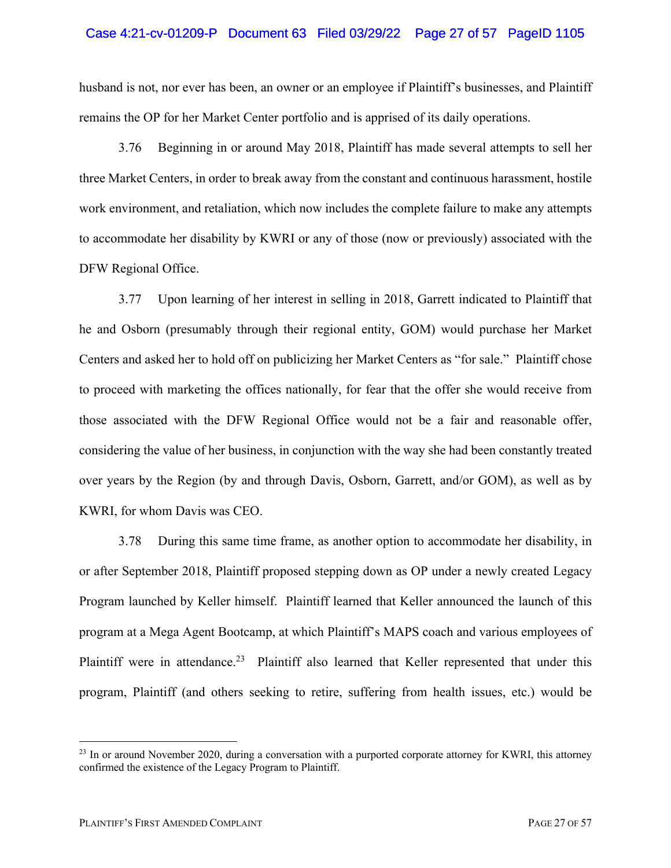#### Case 4:21-cv-01209-P Document 63 Filed 03/29/22 Page 27 of 57 PageID 1105

husband is not, nor ever has been, an owner or an employee if Plaintiff's businesses, and Plaintiff remains the OP for her Market Center portfolio and is apprised of its daily operations.

3.76 Beginning in or around May 2018, Plaintiff has made several attempts to sell her three Market Centers, in order to break away from the constant and continuous harassment, hostile work environment, and retaliation, which now includes the complete failure to make any attempts to accommodate her disability by KWRI or any of those (now or previously) associated with the DFW Regional Office.

3.77 Upon learning of her interest in selling in 2018, Garrett indicated to Plaintiff that he and Osborn (presumably through their regional entity, GOM) would purchase her Market Centers and asked her to hold off on publicizing her Market Centers as "for sale." Plaintiff chose to proceed with marketing the offices nationally, for fear that the offer she would receive from those associated with the DFW Regional Office would not be a fair and reasonable offer, considering the value of her business, in conjunction with the way she had been constantly treated over years by the Region (by and through Davis, Osborn, Garrett, and/or GOM), as well as by KWRI, for whom Davis was CEO.

3.78 During this same time frame, as another option to accommodate her disability, in or after September 2018, Plaintiff proposed stepping down as OP under a newly created Legacy Program launched by Keller himself. Plaintiff learned that Keller announced the launch of this program at a Mega Agent Bootcamp, at which Plaintiff's MAPS coach and various employees of Plaintiff were in attendance.<sup>23</sup> Plaintiff also learned that Keller represented that under this program, Plaintiff (and others seeking to retire, suffering from health issues, etc.) would be

<sup>&</sup>lt;sup>23</sup> In or around November 2020, during a conversation with a purported corporate attorney for KWRI, this attorney confirmed the existence of the Legacy Program to Plaintiff.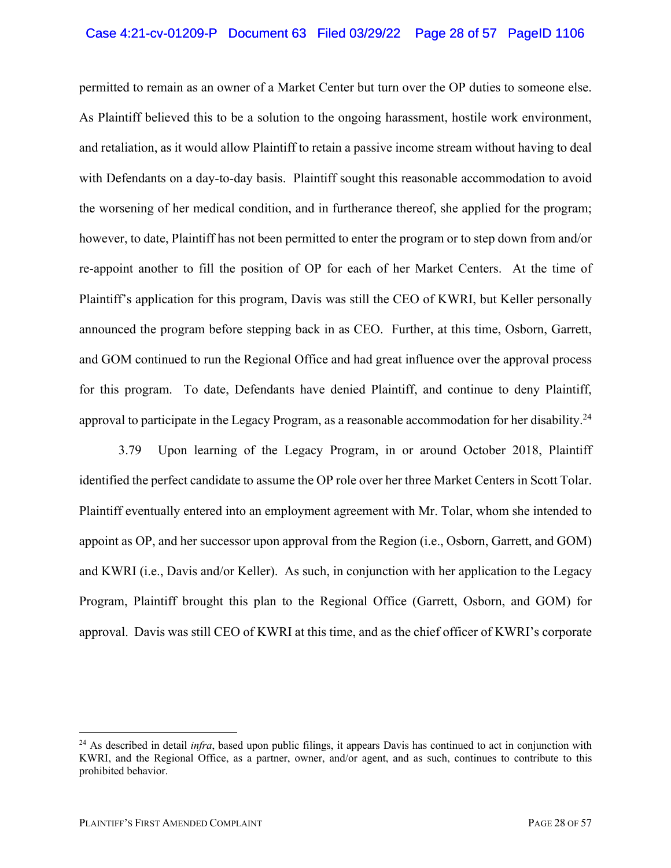### Case 4:21-cv-01209-P Document 63 Filed 03/29/22 Page 28 of 57 PageID 1106

permitted to remain as an owner of a Market Center but turn over the OP duties to someone else. As Plaintiff believed this to be a solution to the ongoing harassment, hostile work environment, and retaliation, as it would allow Plaintiff to retain a passive income stream without having to deal with Defendants on a day-to-day basis. Plaintiff sought this reasonable accommodation to avoid the worsening of her medical condition, and in furtherance thereof, she applied for the program; however, to date, Plaintiff has not been permitted to enter the program or to step down from and/or re-appoint another to fill the position of OP for each of her Market Centers. At the time of Plaintiff's application for this program, Davis was still the CEO of KWRI, but Keller personally announced the program before stepping back in as CEO. Further, at this time, Osborn, Garrett, and GOM continued to run the Regional Office and had great influence over the approval process for this program. To date, Defendants have denied Plaintiff, and continue to deny Plaintiff, approval to participate in the Legacy Program, as a reasonable accommodation for her disability.<sup>24</sup>

3.79 Upon learning of the Legacy Program, in or around October 2018, Plaintiff identified the perfect candidate to assume the OP role over her three Market Centers in Scott Tolar. Plaintiff eventually entered into an employment agreement with Mr. Tolar, whom she intended to appoint as OP, and her successor upon approval from the Region (i.e., Osborn, Garrett, and GOM) and KWRI (i.e., Davis and/or Keller). As such, in conjunction with her application to the Legacy Program, Plaintiff brought this plan to the Regional Office (Garrett, Osborn, and GOM) for approval. Davis was still CEO of KWRI at this time, and as the chief officer of KWRI's corporate

<sup>&</sup>lt;sup>24</sup> As described in detail *infra*, based upon public filings, it appears Davis has continued to act in conjunction with KWRI, and the Regional Office, as a partner, owner, and/or agent, and as such, continues to contribute to this prohibited behavior.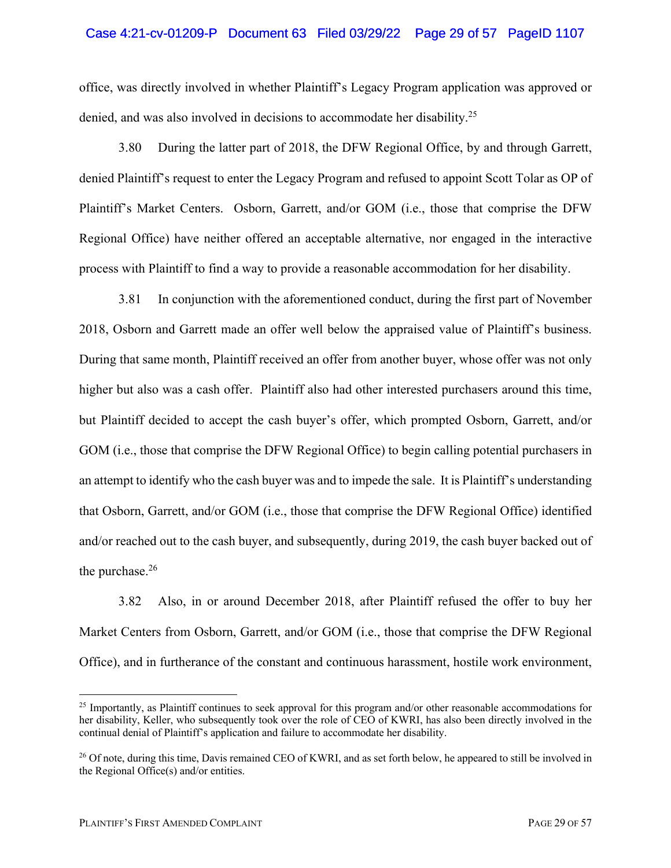#### Case 4:21-cv-01209-P Document 63 Filed 03/29/22 Page 29 of 57 PageID 1107

office, was directly involved in whether Plaintiff's Legacy Program application was approved or denied, and was also involved in decisions to accommodate her disability. 25

3.80 During the latter part of 2018, the DFW Regional Office, by and through Garrett, denied Plaintiff's request to enter the Legacy Program and refused to appoint Scott Tolar as OP of Plaintiff's Market Centers. Osborn, Garrett, and/or GOM (i.e., those that comprise the DFW Regional Office) have neither offered an acceptable alternative, nor engaged in the interactive process with Plaintiff to find a way to provide a reasonable accommodation for her disability.

3.81 In conjunction with the aforementioned conduct, during the first part of November 2018, Osborn and Garrett made an offer well below the appraised value of Plaintiff's business. During that same month, Plaintiff received an offer from another buyer, whose offer was not only higher but also was a cash offer. Plaintiff also had other interested purchasers around this time, but Plaintiff decided to accept the cash buyer's offer, which prompted Osborn, Garrett, and/or GOM (i.e., those that comprise the DFW Regional Office) to begin calling potential purchasers in an attempt to identify who the cash buyer was and to impede the sale. It is Plaintiff's understanding that Osborn, Garrett, and/or GOM (i.e., those that comprise the DFW Regional Office) identified and/or reached out to the cash buyer, and subsequently, during 2019, the cash buyer backed out of the purchase. $26$ 

3.82 Also, in or around December 2018, after Plaintiff refused the offer to buy her Market Centers from Osborn, Garrett, and/or GOM (i.e., those that comprise the DFW Regional Office), and in furtherance of the constant and continuous harassment, hostile work environment,

<sup>&</sup>lt;sup>25</sup> Importantly, as Plaintiff continues to seek approval for this program and/or other reasonable accommodations for her disability, Keller, who subsequently took over the role of CEO of KWRI, has also been directly involved in the continual denial of Plaintiff's application and failure to accommodate her disability.

<sup>&</sup>lt;sup>26</sup> Of note, during this time, Davis remained CEO of KWRI, and as set forth below, he appeared to still be involved in the Regional Office(s) and/or entities.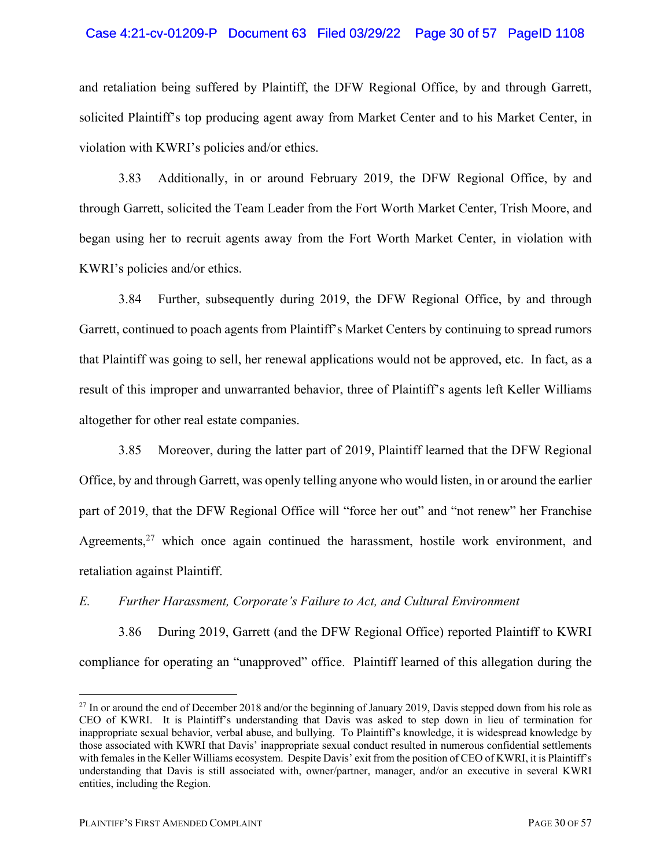### Case 4:21-cv-01209-P Document 63 Filed 03/29/22 Page 30 of 57 PageID 1108

and retaliation being suffered by Plaintiff, the DFW Regional Office, by and through Garrett, solicited Plaintiff's top producing agent away from Market Center and to his Market Center, in violation with KWRI's policies and/or ethics.

3.83 Additionally, in or around February 2019, the DFW Regional Office, by and through Garrett, solicited the Team Leader from the Fort Worth Market Center, Trish Moore, and began using her to recruit agents away from the Fort Worth Market Center, in violation with KWRI's policies and/or ethics.

3.84 Further, subsequently during 2019, the DFW Regional Office, by and through Garrett, continued to poach agents from Plaintiff's Market Centers by continuing to spread rumors that Plaintiff was going to sell, her renewal applications would not be approved, etc. In fact, as a result of this improper and unwarranted behavior, three of Plaintiff's agents left Keller Williams altogether for other real estate companies.

3.85 Moreover, during the latter part of 2019, Plaintiff learned that the DFW Regional Office, by and through Garrett, was openly telling anyone who would listen, in or around the earlier part of 2019, that the DFW Regional Office will "force her out" and "not renew" her Franchise Agreements,<sup>27</sup> which once again continued the harassment, hostile work environment, and retaliation against Plaintiff.

### *E. Further Harassment, Corporate's Failure to Act, and Cultural Environment*

3.86 During 2019, Garrett (and the DFW Regional Office) reported Plaintiff to KWRI compliance for operating an "unapproved" office. Plaintiff learned of this allegation during the

<sup>&</sup>lt;sup>27</sup> In or around the end of December 2018 and/or the beginning of January 2019, Davis stepped down from his role as CEO of KWRI. It is Plaintiff's understanding that Davis was asked to step down in lieu of termination for inappropriate sexual behavior, verbal abuse, and bullying. To Plaintiff's knowledge, it is widespread knowledge by those associated with KWRI that Davis' inappropriate sexual conduct resulted in numerous confidential settlements with females in the Keller Williams ecosystem. Despite Davis' exit from the position of CEO of KWRI, it is Plaintiff's understanding that Davis is still associated with, owner/partner, manager, and/or an executive in several KWRI entities, including the Region.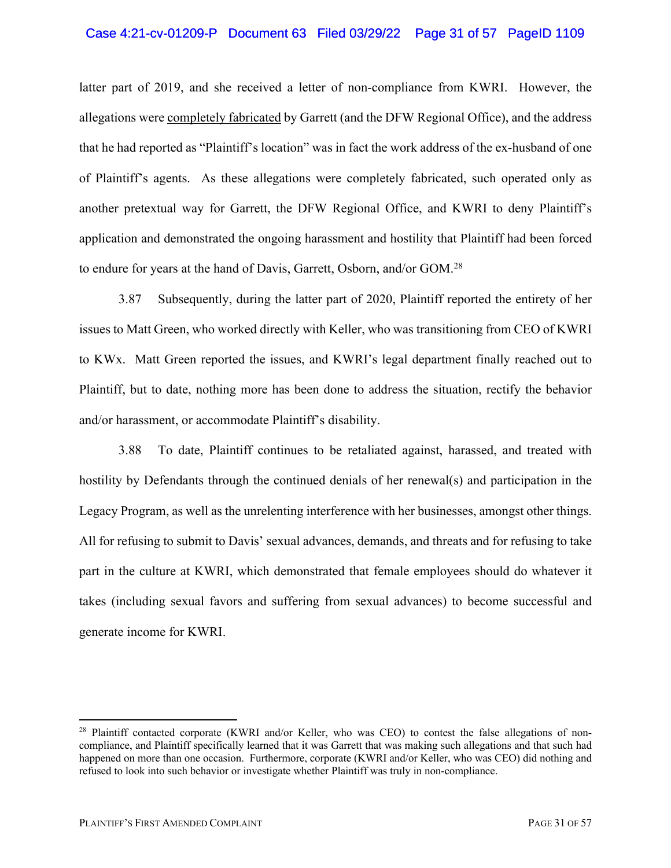#### Case 4:21-cv-01209-P Document 63 Filed 03/29/22 Page 31 of 57 PageID 1109

latter part of 2019, and she received a letter of non-compliance from KWRI. However, the allegations were completely fabricated by Garrett (and the DFW Regional Office), and the address that he had reported as "Plaintiff's location" was in fact the work address of the ex-husband of one of Plaintiff's agents. As these allegations were completely fabricated, such operated only as another pretextual way for Garrett, the DFW Regional Office, and KWRI to deny Plaintiff's application and demonstrated the ongoing harassment and hostility that Plaintiff had been forced to endure for years at the hand of Davis, Garrett, Osborn, and/or GOM.<sup>28</sup>

3.87 Subsequently, during the latter part of 2020, Plaintiff reported the entirety of her issues to Matt Green, who worked directly with Keller, who was transitioning from CEO of KWRI to KWx. Matt Green reported the issues, and KWRI's legal department finally reached out to Plaintiff, but to date, nothing more has been done to address the situation, rectify the behavior and/or harassment, or accommodate Plaintiff's disability.

3.88 To date, Plaintiff continues to be retaliated against, harassed, and treated with hostility by Defendants through the continued denials of her renewal(s) and participation in the Legacy Program, as well as the unrelenting interference with her businesses, amongst other things. All for refusing to submit to Davis' sexual advances, demands, and threats and for refusing to take part in the culture at KWRI, which demonstrated that female employees should do whatever it takes (including sexual favors and suffering from sexual advances) to become successful and generate income for KWRI.

<sup>&</sup>lt;sup>28</sup> Plaintiff contacted corporate (KWRI and/or Keller, who was CEO) to contest the false allegations of noncompliance, and Plaintiff specifically learned that it was Garrett that was making such allegations and that such had happened on more than one occasion. Furthermore, corporate (KWRI and/or Keller, who was CEO) did nothing and refused to look into such behavior or investigate whether Plaintiff was truly in non-compliance.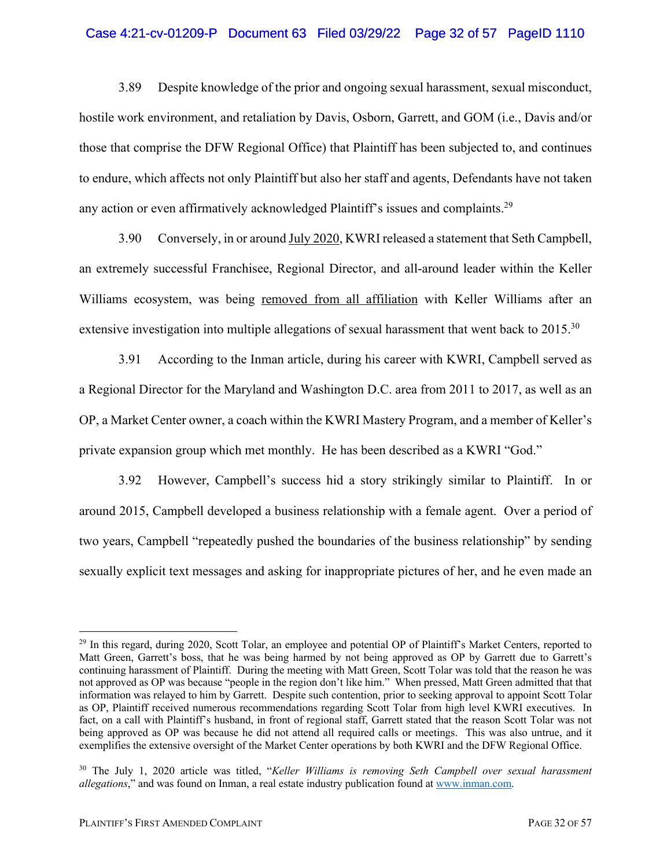### Case 4:21-cv-01209-P Document 63 Filed 03/29/22 Page 32 of 57 PageID 1110

3.89 Despite knowledge of the prior and ongoing sexual harassment, sexual misconduct, hostile work environment, and retaliation by Davis, Osborn, Garrett, and GOM (i.e., Davis and/or those that comprise the DFW Regional Office) that Plaintiff has been subjected to, and continues to endure, which affects not only Plaintiff but also her staff and agents, Defendants have not taken any action or even affirmatively acknowledged Plaintiff's issues and complaints.<sup>29</sup>

3.90 Conversely, in or around July 2020, KWRI released a statement that Seth Campbell, an extremely successful Franchisee, Regional Director, and all-around leader within the Keller Williams ecosystem, was being removed from all affiliation with Keller Williams after an extensive investigation into multiple allegations of sexual harassment that went back to 2015.<sup>30</sup>

3.91 According to the Inman article, during his career with KWRI, Campbell served as a Regional Director for the Maryland and Washington D.C. area from 2011 to 2017, as well as an OP, a Market Center owner, a coach within the KWRI Mastery Program, and a member of Keller's private expansion group which met monthly. He has been described as a KWRI "God."

3.92 However, Campbell's success hid a story strikingly similar to Plaintiff. In or around 2015, Campbell developed a business relationship with a female agent. Over a period of two years, Campbell "repeatedly pushed the boundaries of the business relationship" by sending sexually explicit text messages and asking for inappropriate pictures of her, and he even made an

<sup>&</sup>lt;sup>29</sup> In this regard, during 2020, Scott Tolar, an employee and potential OP of Plaintiff's Market Centers, reported to Matt Green, Garrett's boss, that he was being harmed by not being approved as OP by Garrett due to Garrett's continuing harassment of Plaintiff. During the meeting with Matt Green, Scott Tolar was told that the reason he was not approved as OP was because "people in the region don't like him." When pressed, Matt Green admitted that that information was relayed to him by Garrett. Despite such contention, prior to seeking approval to appoint Scott Tolar as OP, Plaintiff received numerous recommendations regarding Scott Tolar from high level KWRI executives. In fact, on a call with Plaintiff's husband, in front of regional staff, Garrett stated that the reason Scott Tolar was not being approved as OP was because he did not attend all required calls or meetings. This was also untrue, and it exemplifies the extensive oversight of the Market Center operations by both KWRI and the DFW Regional Office.

<sup>30</sup> The July 1, 2020 article was titled, "*Keller Williams is removing Seth Campbell over sexual harassment allegations*," and was found on Inman, a real estate industry publication found at www.inman.com.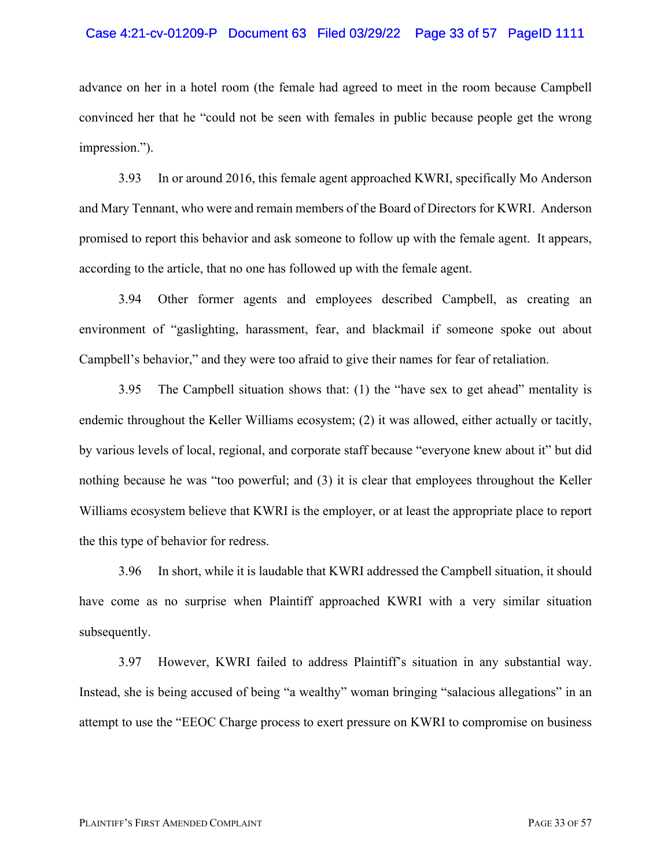#### Case 4:21-cv-01209-P Document 63 Filed 03/29/22 Page 33 of 57 PageID 1111

advance on her in a hotel room (the female had agreed to meet in the room because Campbell convinced her that he "could not be seen with females in public because people get the wrong impression.").

3.93 In or around 2016, this female agent approached KWRI, specifically Mo Anderson and Mary Tennant, who were and remain members of the Board of Directors for KWRI. Anderson promised to report this behavior and ask someone to follow up with the female agent. It appears, according to the article, that no one has followed up with the female agent.

3.94 Other former agents and employees described Campbell, as creating an environment of "gaslighting, harassment, fear, and blackmail if someone spoke out about Campbell's behavior," and they were too afraid to give their names for fear of retaliation.

3.95 The Campbell situation shows that: (1) the "have sex to get ahead" mentality is endemic throughout the Keller Williams ecosystem; (2) it was allowed, either actually or tacitly, by various levels of local, regional, and corporate staff because "everyone knew about it" but did nothing because he was "too powerful; and (3) it is clear that employees throughout the Keller Williams ecosystem believe that KWRI is the employer, or at least the appropriate place to report the this type of behavior for redress.

3.96 In short, while it is laudable that KWRI addressed the Campbell situation, it should have come as no surprise when Plaintiff approached KWRI with a very similar situation subsequently.

3.97 However, KWRI failed to address Plaintiff's situation in any substantial way. Instead, she is being accused of being "a wealthy" woman bringing "salacious allegations" in an attempt to use the "EEOC Charge process to exert pressure on KWRI to compromise on business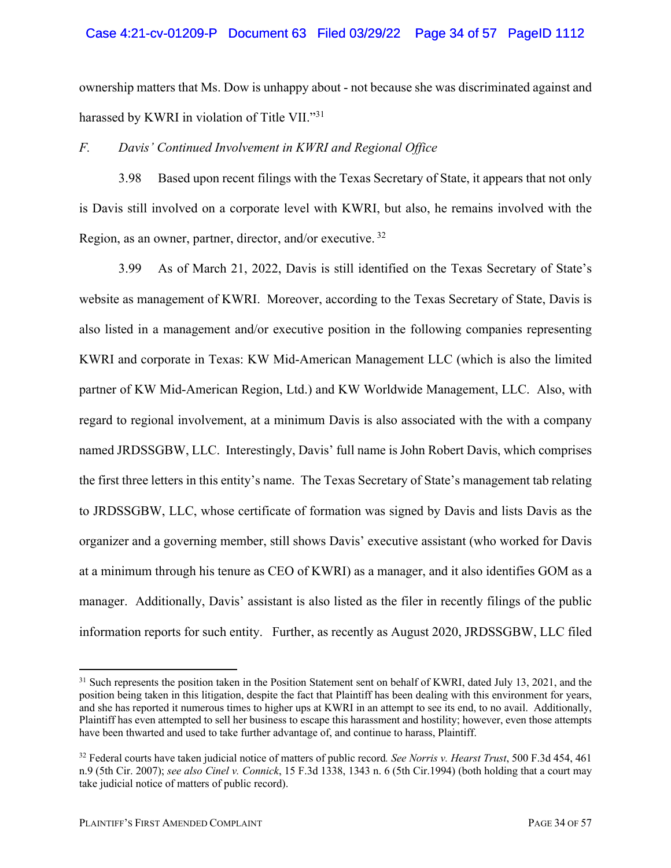### Case 4:21-cv-01209-P Document 63 Filed 03/29/22 Page 34 of 57 PageID 1112

ownership matters that Ms. Dow is unhappy about - not because she was discriminated against and harassed by KWRI in violation of Title VII."31

### *F. Davis' Continued Involvement in KWRI and Regional Office*

3.98 Based upon recent filings with the Texas Secretary of State, it appears that not only is Davis still involved on a corporate level with KWRI, but also, he remains involved with the Region, as an owner, partner, director, and/or executive. <sup>32</sup>

3.99 As of March 21, 2022, Davis is still identified on the Texas Secretary of State's website as management of KWRI. Moreover, according to the Texas Secretary of State, Davis is also listed in a management and/or executive position in the following companies representing KWRI and corporate in Texas: KW Mid-American Management LLC (which is also the limited partner of KW Mid-American Region, Ltd.) and KW Worldwide Management, LLC. Also, with regard to regional involvement, at a minimum Davis is also associated with the with a company named JRDSSGBW, LLC. Interestingly, Davis' full name is John Robert Davis, which comprises the first three letters in this entity's name. The Texas Secretary of State's management tab relating to JRDSSGBW, LLC, whose certificate of formation was signed by Davis and lists Davis as the organizer and a governing member, still shows Davis' executive assistant (who worked for Davis at a minimum through his tenure as CEO of KWRI) as a manager, and it also identifies GOM as a manager. Additionally, Davis' assistant is also listed as the filer in recently filings of the public information reports for such entity. Further, as recently as August 2020, JRDSSGBW, LLC filed

<sup>&</sup>lt;sup>31</sup> Such represents the position taken in the Position Statement sent on behalf of KWRI, dated July 13, 2021, and the position being taken in this litigation, despite the fact that Plaintiff has been dealing with this environment for years, and she has reported it numerous times to higher ups at KWRI in an attempt to see its end, to no avail. Additionally, Plaintiff has even attempted to sell her business to escape this harassment and hostility; however, even those attempts have been thwarted and used to take further advantage of, and continue to harass, Plaintiff.

<sup>32</sup> Federal courts have taken judicial notice of matters of public record*. See Norris v. Hearst Trust*, 500 F.3d 454, 461 n.9 (5th Cir. 2007); *see also Cinel v. Connick*, 15 F.3d 1338, 1343 n. 6 (5th Cir.1994) (both holding that a court may take judicial notice of matters of public record).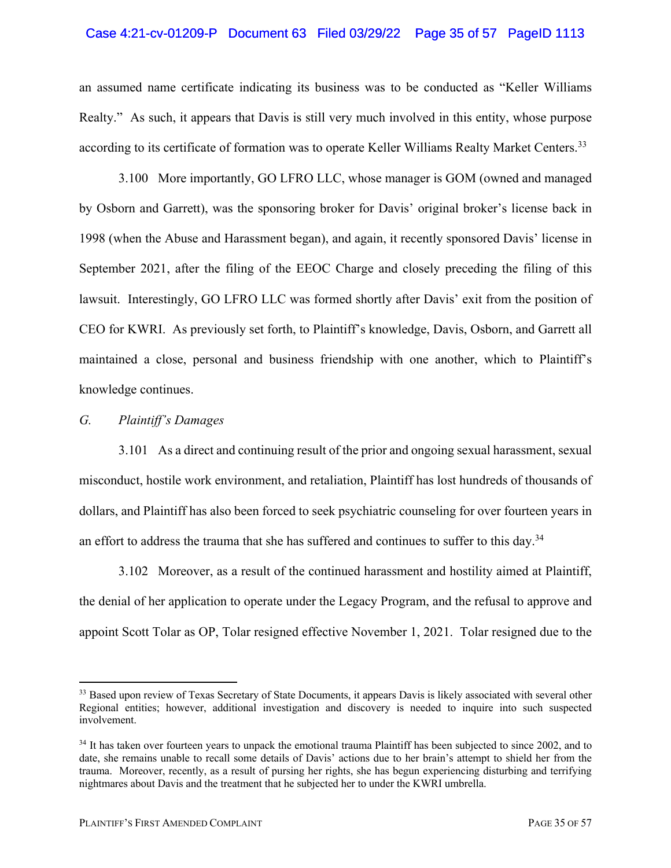### Case 4:21-cv-01209-P Document 63 Filed 03/29/22 Page 35 of 57 PageID 1113

an assumed name certificate indicating its business was to be conducted as "Keller Williams Realty." As such, it appears that Davis is still very much involved in this entity, whose purpose according to its certificate of formation was to operate Keller Williams Realty Market Centers.33

3.100 More importantly, GO LFRO LLC, whose manager is GOM (owned and managed by Osborn and Garrett), was the sponsoring broker for Davis' original broker's license back in 1998 (when the Abuse and Harassment began), and again, it recently sponsored Davis' license in September 2021, after the filing of the EEOC Charge and closely preceding the filing of this lawsuit. Interestingly, GO LFRO LLC was formed shortly after Davis' exit from the position of CEO for KWRI. As previously set forth, to Plaintiff's knowledge, Davis, Osborn, and Garrett all maintained a close, personal and business friendship with one another, which to Plaintiff's knowledge continues.

### *G. Plaintiff's Damages*

3.101 As a direct and continuing result of the prior and ongoing sexual harassment, sexual misconduct, hostile work environment, and retaliation, Plaintiff has lost hundreds of thousands of dollars, and Plaintiff has also been forced to seek psychiatric counseling for over fourteen years in an effort to address the trauma that she has suffered and continues to suffer to this day.<sup>34</sup>

3.102 Moreover, as a result of the continued harassment and hostility aimed at Plaintiff, the denial of her application to operate under the Legacy Program, and the refusal to approve and appoint Scott Tolar as OP, Tolar resigned effective November 1, 2021. Tolar resigned due to the

<sup>&</sup>lt;sup>33</sup> Based upon review of Texas Secretary of State Documents, it appears Davis is likely associated with several other Regional entities; however, additional investigation and discovery is needed to inquire into such suspected involvement.

<sup>&</sup>lt;sup>34</sup> It has taken over fourteen years to unpack the emotional trauma Plaintiff has been subjected to since 2002, and to date, she remains unable to recall some details of Davis' actions due to her brain's attempt to shield her from the trauma. Moreover, recently, as a result of pursing her rights, she has begun experiencing disturbing and terrifying nightmares about Davis and the treatment that he subjected her to under the KWRI umbrella.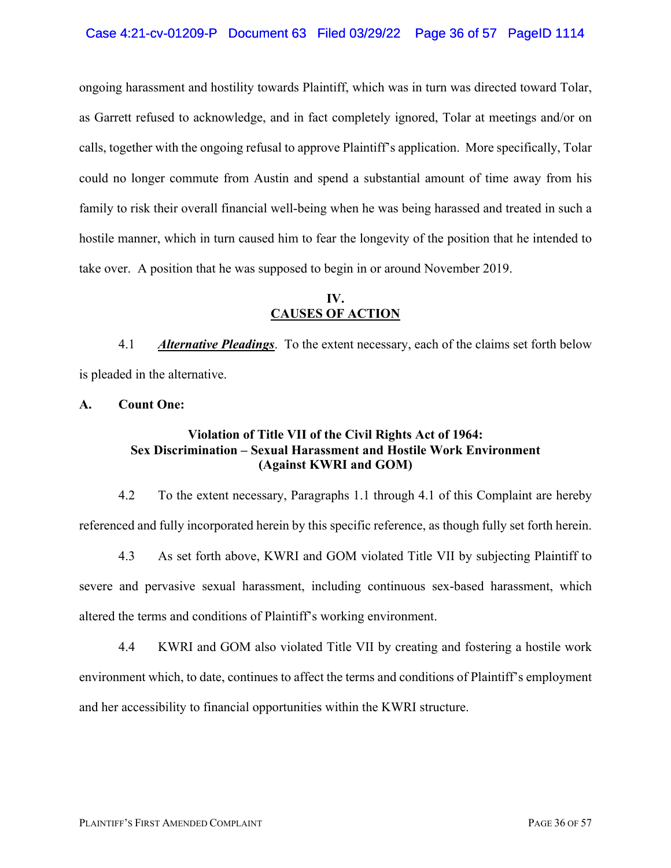### Case 4:21-cv-01209-P Document 63 Filed 03/29/22 Page 36 of 57 PageID 1114

ongoing harassment and hostility towards Plaintiff, which was in turn was directed toward Tolar, as Garrett refused to acknowledge, and in fact completely ignored, Tolar at meetings and/or on calls, together with the ongoing refusal to approve Plaintiff's application. More specifically, Tolar could no longer commute from Austin and spend a substantial amount of time away from his family to risk their overall financial well-being when he was being harassed and treated in such a hostile manner, which in turn caused him to fear the longevity of the position that he intended to take over. A position that he was supposed to begin in or around November 2019.

### **IV. CAUSES OF ACTION**

4.1 *Alternative Pleadings*. To the extent necessary, each of the claims set forth below is pleaded in the alternative.

**A. Count One:**

### **Violation of Title VII of the Civil Rights Act of 1964: Sex Discrimination – Sexual Harassment and Hostile Work Environment (Against KWRI and GOM)**

4.2 To the extent necessary, Paragraphs 1.1 through 4.1 of this Complaint are hereby referenced and fully incorporated herein by this specific reference, as though fully set forth herein.

4.3 As set forth above, KWRI and GOM violated Title VII by subjecting Plaintiff to severe and pervasive sexual harassment, including continuous sex-based harassment, which altered the terms and conditions of Plaintiff's working environment.

4.4 KWRI and GOM also violated Title VII by creating and fostering a hostile work environment which, to date, continues to affect the terms and conditions of Plaintiff's employment and her accessibility to financial opportunities within the KWRI structure.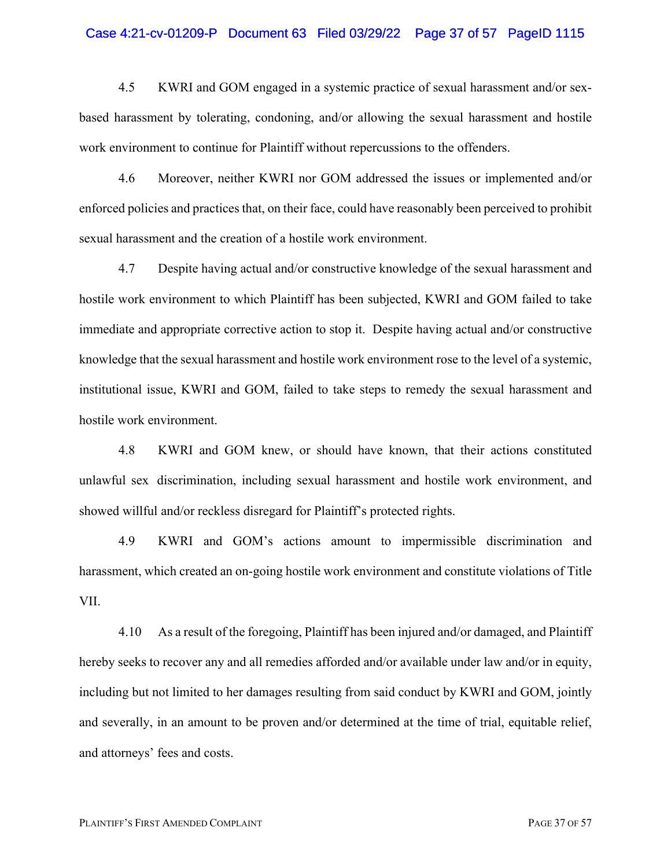#### Case 4:21-cv-01209-P Document 63 Filed 03/29/22 Page 37 of 57 PageID 1115

4.5 KWRI and GOM engaged in a systemic practice of sexual harassment and/or sexbased harassment by tolerating, condoning, and/or allowing the sexual harassment and hostile work environment to continue for Plaintiff without repercussions to the offenders.

4.6 Moreover, neither KWRI nor GOM addressed the issues or implemented and/or enforced policies and practices that, on their face, could have reasonably been perceived to prohibit sexual harassment and the creation of a hostile work environment.

4.7 Despite having actual and/or constructive knowledge of the sexual harassment and hostile work environment to which Plaintiff has been subjected, KWRI and GOM failed to take immediate and appropriate corrective action to stop it. Despite having actual and/or constructive knowledge that the sexual harassment and hostile work environment rose to the level of a systemic, institutional issue, KWRI and GOM, failed to take steps to remedy the sexual harassment and hostile work environment.

4.8 KWRI and GOM knew, or should have known, that their actions constituted unlawful sex discrimination, including sexual harassment and hostile work environment, and showed willful and/or reckless disregard for Plaintiff's protected rights.

4.9 KWRI and GOM's actions amount to impermissible discrimination and harassment, which created an on-going hostile work environment and constitute violations of Title VII.

4.10 As a result of the foregoing, Plaintiff has been injured and/or damaged, and Plaintiff hereby seeks to recover any and all remedies afforded and/or available under law and/or in equity, including but not limited to her damages resulting from said conduct by KWRI and GOM, jointly and severally, in an amount to be proven and/or determined at the time of trial, equitable relief, and attorneys' fees and costs.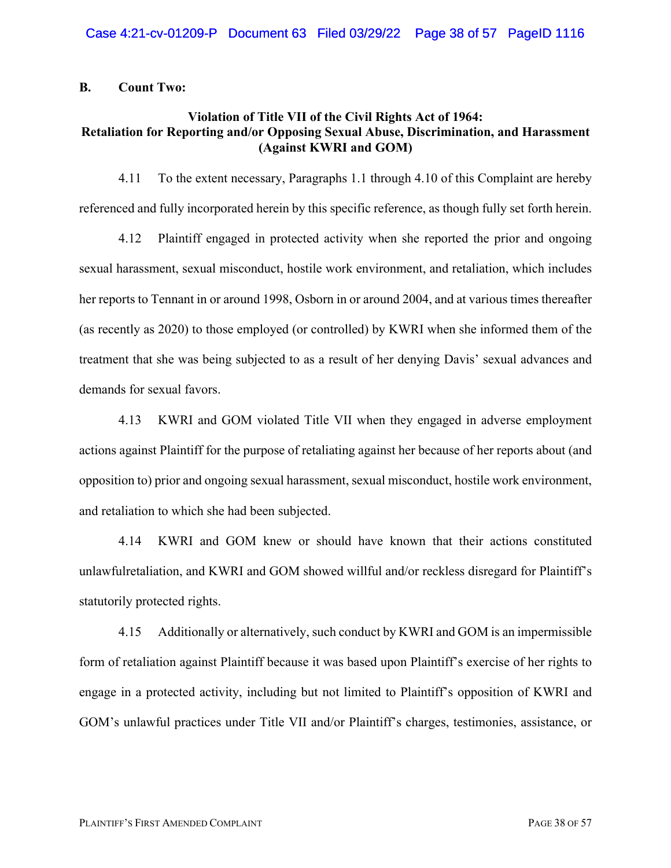### **B. Count Two:**

### **Violation of Title VII of the Civil Rights Act of 1964: Retaliation for Reporting and/or Opposing Sexual Abuse, Discrimination, and Harassment (Against KWRI and GOM)**

4.11 To the extent necessary, Paragraphs 1.1 through 4.10 of this Complaint are hereby referenced and fully incorporated herein by this specific reference, as though fully set forth herein.

4.12 Plaintiff engaged in protected activity when she reported the prior and ongoing sexual harassment, sexual misconduct, hostile work environment, and retaliation, which includes her reports to Tennant in or around 1998, Osborn in or around 2004, and at various times thereafter (as recently as 2020) to those employed (or controlled) by KWRI when she informed them of the treatment that she was being subjected to as a result of her denying Davis' sexual advances and demands for sexual favors.

4.13 KWRI and GOM violated Title VII when they engaged in adverse employment actions against Plaintiff for the purpose of retaliating against her because of her reports about (and opposition to) prior and ongoing sexual harassment, sexual misconduct, hostile work environment, and retaliation to which she had been subjected.

4.14 KWRI and GOM knew or should have known that their actions constituted unlawfulretaliation, and KWRI and GOM showed willful and/or reckless disregard for Plaintiff's statutorily protected rights.

4.15 Additionally or alternatively, such conduct by KWRI and GOM is an impermissible form of retaliation against Plaintiff because it was based upon Plaintiff's exercise of her rights to engage in a protected activity, including but not limited to Plaintiff's opposition of KWRI and GOM's unlawful practices under Title VII and/or Plaintiff's charges, testimonies, assistance, or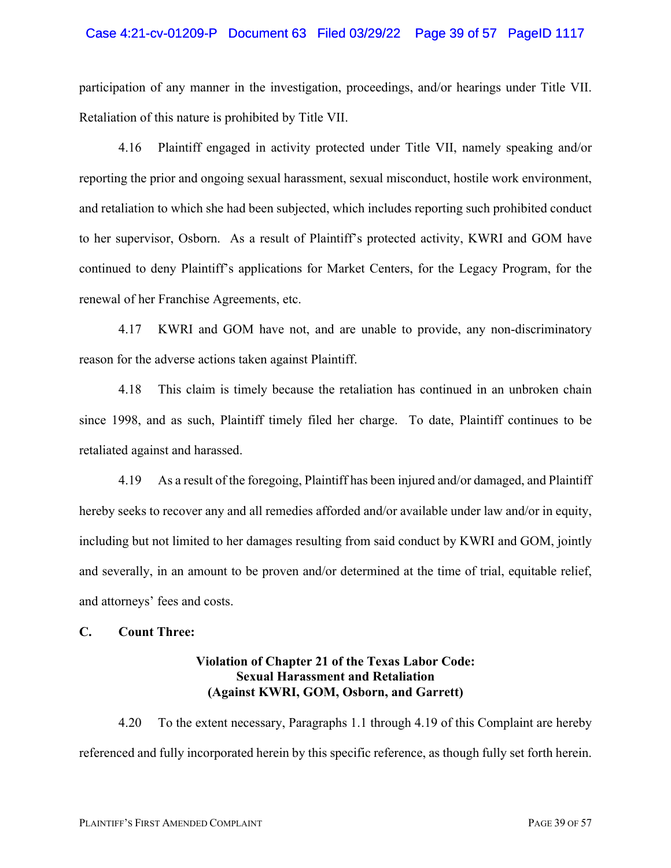#### Case 4:21-cv-01209-P Document 63 Filed 03/29/22 Page 39 of 57 PageID 1117

participation of any manner in the investigation, proceedings, and/or hearings under Title VII. Retaliation of this nature is prohibited by Title VII.

4.16 Plaintiff engaged in activity protected under Title VII, namely speaking and/or reporting the prior and ongoing sexual harassment, sexual misconduct, hostile work environment, and retaliation to which she had been subjected, which includes reporting such prohibited conduct to her supervisor, Osborn. As a result of Plaintiff's protected activity, KWRI and GOM have continued to deny Plaintiff's applications for Market Centers, for the Legacy Program, for the renewal of her Franchise Agreements, etc.

4.17 KWRI and GOM have not, and are unable to provide, any non-discriminatory reason for the adverse actions taken against Plaintiff.

4.18 This claim is timely because the retaliation has continued in an unbroken chain since 1998, and as such, Plaintiff timely filed her charge. To date, Plaintiff continues to be retaliated against and harassed.

4.19 As a result of the foregoing, Plaintiff has been injured and/or damaged, and Plaintiff hereby seeks to recover any and all remedies afforded and/or available under law and/or in equity, including but not limited to her damages resulting from said conduct by KWRI and GOM, jointly and severally, in an amount to be proven and/or determined at the time of trial, equitable relief, and attorneys' fees and costs.

### **C. Count Three:**

### **Violation of Chapter 21 of the Texas Labor Code: Sexual Harassment and Retaliation (Against KWRI, GOM, Osborn, and Garrett)**

4.20 To the extent necessary, Paragraphs 1.1 through 4.19 of this Complaint are hereby referenced and fully incorporated herein by this specific reference, as though fully set forth herein.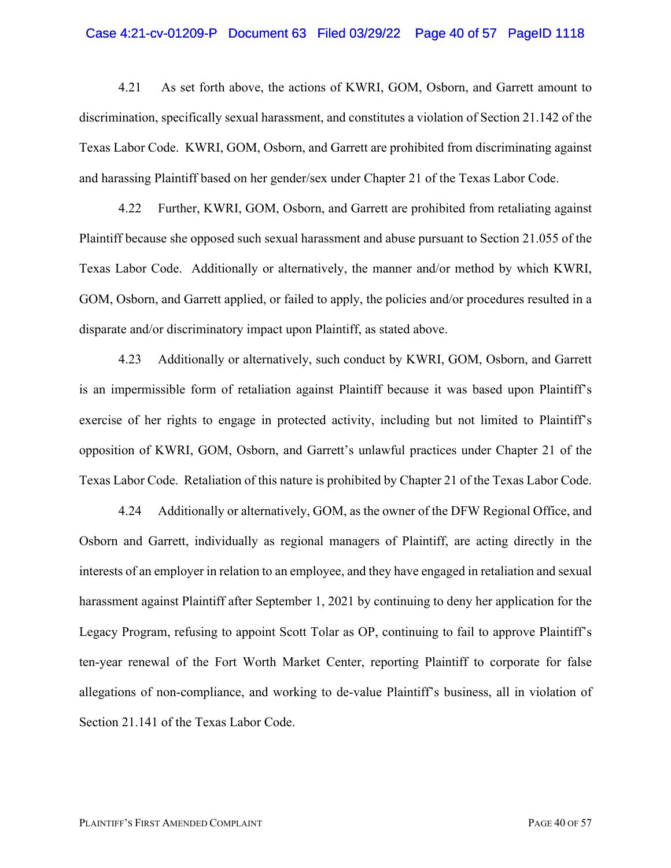#### Case 4:21-cv-01209-P Document 63 Filed 03/29/22 Page 40 of 57 PageID 1118

4.21 As set forth above, the actions of KWRI, GOM, Osborn, and Garrett amount to discrimination, specifically sexual harassment, and constitutes a violation of Section 21.142 of the Texas Labor Code. KWRI, GOM, Osborn, and Garrett are prohibited from discriminating against and harassing Plaintiff based on her gender/sex under Chapter 21 of the Texas Labor Code.

4.22 Further, KWRI, GOM, Osborn, and Garrett are prohibited from retaliating against Plaintiff because she opposed such sexual harassment and abuse pursuant to Section 21.055 of the Texas Labor Code. Additionally or alternatively, the manner and/or method by which KWRI, GOM, Osborn, and Garrett applied, or failed to apply, the policies and/or procedures resulted in a disparate and/or discriminatory impact upon Plaintiff, as stated above.

4.23 Additionally or alternatively, such conduct by KWRI, GOM, Osborn, and Garrett is an impermissible form of retaliation against Plaintiff because it was based upon Plaintiff's exercise of her rights to engage in protected activity, including but not limited to Plaintiff's opposition of KWRI, GOM, Osborn, and Garrett's unlawful practices under Chapter 21 of the Texas Labor Code. Retaliation of this nature is prohibited by Chapter 21 of the Texas Labor Code.

4.24 Additionally or alternatively, GOM, as the owner of the DFW Regional Office, and Osborn and Garrett, individually as regional managers of Plaintiff, are acting directly in the interests of an employer in relation to an employee, and they have engaged in retaliation and sexual harassment against Plaintiff after September 1, 2021 by continuing to deny her application for the Legacy Program, refusing to appoint Scott Tolar as OP, continuing to fail to approve Plaintiff's ten-year renewal of the Fort Worth Market Center, reporting Plaintiff to corporate for false allegations of non-compliance, and working to de-value Plaintiff's business, all in violation of Section 21.141 of the Texas Labor Code.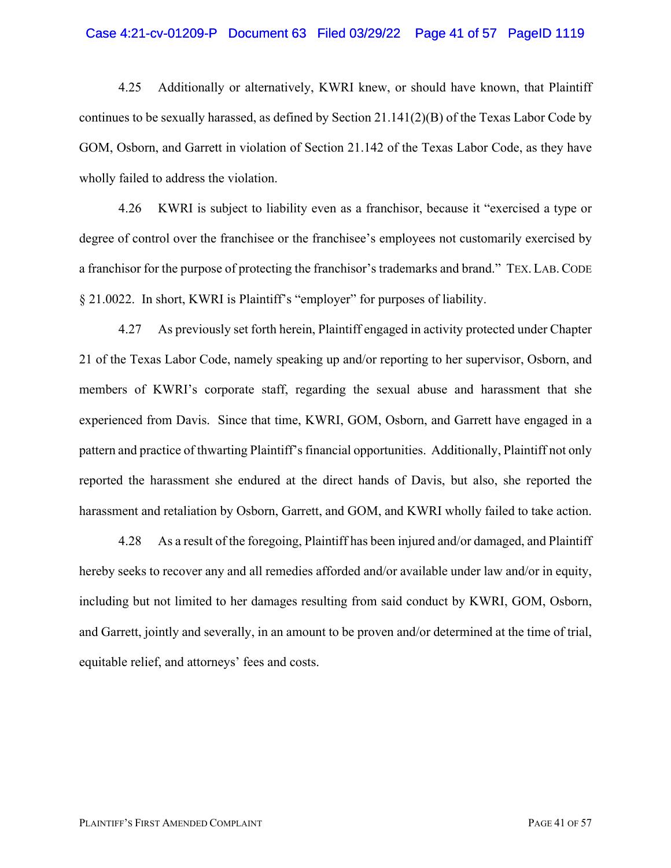#### Case 4:21-cv-01209-P Document 63 Filed 03/29/22 Page 41 of 57 PageID 1119

4.25 Additionally or alternatively, KWRI knew, or should have known, that Plaintiff continues to be sexually harassed, as defined by Section  $21.141(2)(B)$  of the Texas Labor Code by GOM, Osborn, and Garrett in violation of Section 21.142 of the Texas Labor Code, as they have wholly failed to address the violation.

4.26 KWRI is subject to liability even as a franchisor, because it "exercised a type or degree of control over the franchisee or the franchisee's employees not customarily exercised by a franchisor for the purpose of protecting the franchisor's trademarks and brand." TEX. LAB.CODE § 21.0022. In short, KWRI is Plaintiff's "employer" for purposes of liability.

4.27 As previously set forth herein, Plaintiff engaged in activity protected under Chapter 21 of the Texas Labor Code, namely speaking up and/or reporting to her supervisor, Osborn, and members of KWRI's corporate staff, regarding the sexual abuse and harassment that she experienced from Davis. Since that time, KWRI, GOM, Osborn, and Garrett have engaged in a pattern and practice of thwarting Plaintiff's financial opportunities. Additionally, Plaintiff not only reported the harassment she endured at the direct hands of Davis, but also, she reported the harassment and retaliation by Osborn, Garrett, and GOM, and KWRI wholly failed to take action.

4.28 As a result of the foregoing, Plaintiff has been injured and/or damaged, and Plaintiff hereby seeks to recover any and all remedies afforded and/or available under law and/or in equity, including but not limited to her damages resulting from said conduct by KWRI, GOM, Osborn, and Garrett, jointly and severally, in an amount to be proven and/or determined at the time of trial, equitable relief, and attorneys' fees and costs.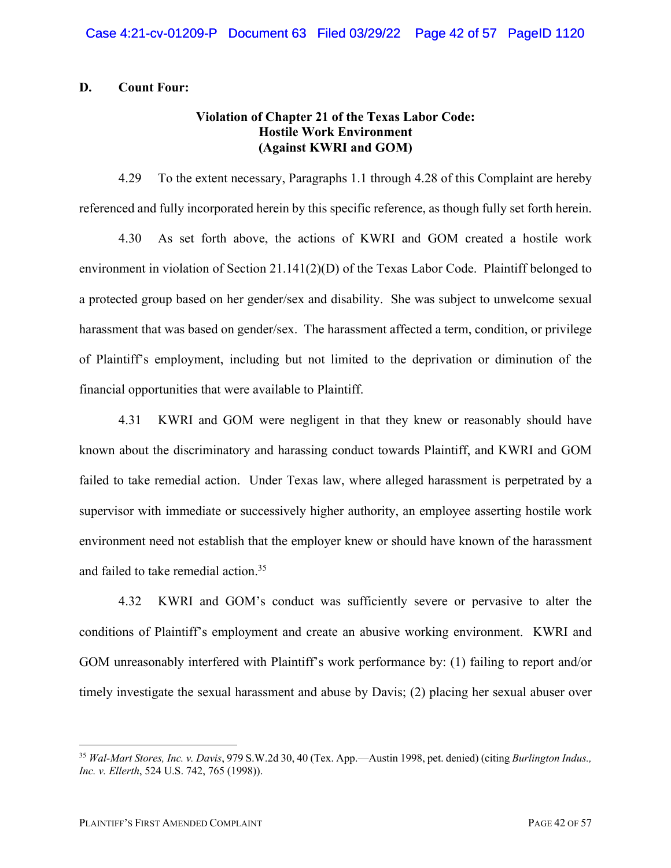### **D. Count Four:**

### **Violation of Chapter 21 of the Texas Labor Code: Hostile Work Environment (Against KWRI and GOM)**

4.29 To the extent necessary, Paragraphs 1.1 through 4.28 of this Complaint are hereby referenced and fully incorporated herein by this specific reference, as though fully set forth herein.

4.30 As set forth above, the actions of KWRI and GOM created a hostile work environment in violation of Section 21.141(2)(D) of the Texas Labor Code. Plaintiff belonged to a protected group based on her gender/sex and disability. She was subject to unwelcome sexual harassment that was based on gender/sex. The harassment affected a term, condition, or privilege of Plaintiff's employment, including but not limited to the deprivation or diminution of the financial opportunities that were available to Plaintiff.

4.31 KWRI and GOM were negligent in that they knew or reasonably should have known about the discriminatory and harassing conduct towards Plaintiff, and KWRI and GOM failed to take remedial action. Under Texas law, where alleged harassment is perpetrated by a supervisor with immediate or successively higher authority, an employee asserting hostile work environment need not establish that the employer knew or should have known of the harassment and failed to take remedial action.<sup>35</sup>

4.32 KWRI and GOM's conduct was sufficiently severe or pervasive to alter the conditions of Plaintiff's employment and create an abusive working environment. KWRI and GOM unreasonably interfered with Plaintiff's work performance by: (1) failing to report and/or timely investigate the sexual harassment and abuse by Davis; (2) placing her sexual abuser over

<sup>35</sup> *Wal-Mart Stores, Inc. v. Davis*, 979 S.W.2d 30, 40 (Tex. App.—Austin 1998, pet. denied) (citing *Burlington Indus., Inc. v. Ellerth*, 524 U.S. 742, 765 (1998)).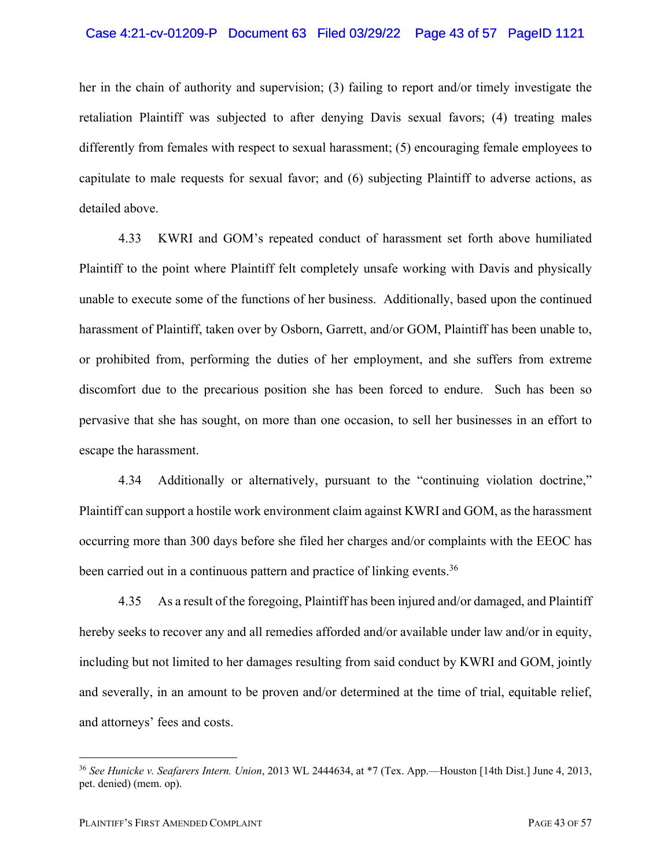#### Case 4:21-cv-01209-P Document 63 Filed 03/29/22 Page 43 of 57 PageID 1121

her in the chain of authority and supervision; (3) failing to report and/or timely investigate the retaliation Plaintiff was subjected to after denying Davis sexual favors; (4) treating males differently from females with respect to sexual harassment; (5) encouraging female employees to capitulate to male requests for sexual favor; and (6) subjecting Plaintiff to adverse actions, as detailed above.

4.33 KWRI and GOM's repeated conduct of harassment set forth above humiliated Plaintiff to the point where Plaintiff felt completely unsafe working with Davis and physically unable to execute some of the functions of her business. Additionally, based upon the continued harassment of Plaintiff, taken over by Osborn, Garrett, and/or GOM, Plaintiff has been unable to, or prohibited from, performing the duties of her employment, and she suffers from extreme discomfort due to the precarious position she has been forced to endure. Such has been so pervasive that she has sought, on more than one occasion, to sell her businesses in an effort to escape the harassment.

4.34 Additionally or alternatively, pursuant to the "continuing violation doctrine," Plaintiff can support a hostile work environment claim against KWRI and GOM, as the harassment occurring more than 300 days before she filed her charges and/or complaints with the EEOC has been carried out in a continuous pattern and practice of linking events.<sup>36</sup>

4.35 As a result of the foregoing, Plaintiff has been injured and/or damaged, and Plaintiff hereby seeks to recover any and all remedies afforded and/or available under law and/or in equity, including but not limited to her damages resulting from said conduct by KWRI and GOM, jointly and severally, in an amount to be proven and/or determined at the time of trial, equitable relief, and attorneys' fees and costs.

<sup>36</sup> *See Hunicke v. Seafarers Intern. Union*, 2013 WL 2444634, at \*7 (Tex. App.—Houston [14th Dist.] June 4, 2013, pet. denied) (mem. op).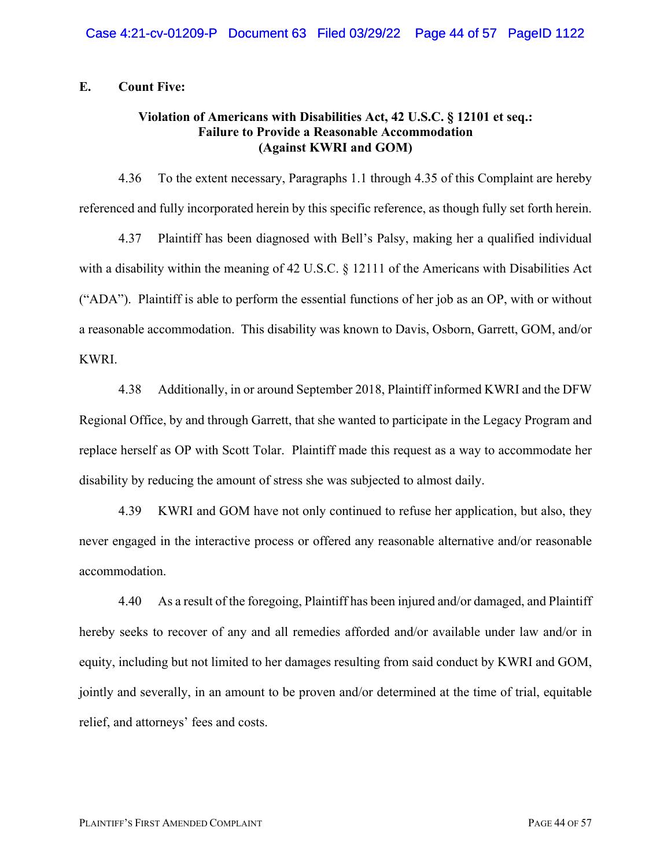**E. Count Five:**

### **Violation of Americans with Disabilities Act, 42 U.S.C. § 12101 et seq.: Failure to Provide a Reasonable Accommodation (Against KWRI and GOM)**

4.36 To the extent necessary, Paragraphs 1.1 through 4.35 of this Complaint are hereby referenced and fully incorporated herein by this specific reference, as though fully set forth herein.

4.37 Plaintiff has been diagnosed with Bell's Palsy, making her a qualified individual with a disability within the meaning of 42 U.S.C. § 12111 of the Americans with Disabilities Act ("ADA"). Plaintiff is able to perform the essential functions of her job as an OP, with or without a reasonable accommodation. This disability was known to Davis, Osborn, Garrett, GOM, and/or KWRI.

4.38 Additionally, in or around September 2018, Plaintiff informed KWRI and the DFW Regional Office, by and through Garrett, that she wanted to participate in the Legacy Program and replace herself as OP with Scott Tolar. Plaintiff made this request as a way to accommodate her disability by reducing the amount of stress she was subjected to almost daily.

4.39 KWRI and GOM have not only continued to refuse her application, but also, they never engaged in the interactive process or offered any reasonable alternative and/or reasonable accommodation.

4.40 As a result of the foregoing, Plaintiff has been injured and/or damaged, and Plaintiff hereby seeks to recover of any and all remedies afforded and/or available under law and/or in equity, including but not limited to her damages resulting from said conduct by KWRI and GOM, jointly and severally, in an amount to be proven and/or determined at the time of trial, equitable relief, and attorneys' fees and costs.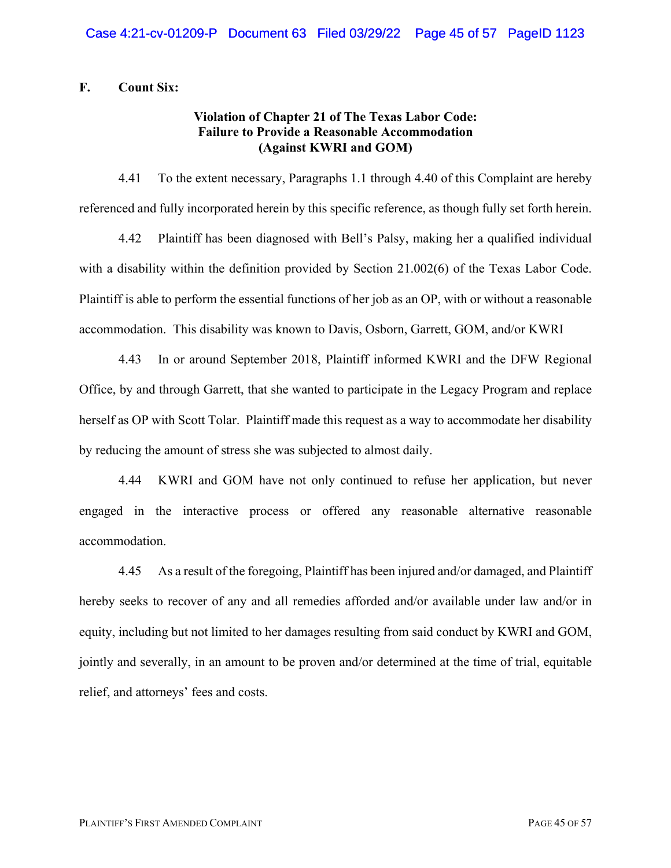### **F. Count Six:**

### **Violation of Chapter 21 of The Texas Labor Code: Failure to Provide a Reasonable Accommodation (Against KWRI and GOM)**

4.41 To the extent necessary, Paragraphs 1.1 through 4.40 of this Complaint are hereby referenced and fully incorporated herein by this specific reference, as though fully set forth herein.

4.42 Plaintiff has been diagnosed with Bell's Palsy, making her a qualified individual with a disability within the definition provided by Section 21.002(6) of the Texas Labor Code. Plaintiff is able to perform the essential functions of her job as an OP, with or without a reasonable accommodation. This disability was known to Davis, Osborn, Garrett, GOM, and/or KWRI

4.43 In or around September 2018, Plaintiff informed KWRI and the DFW Regional Office, by and through Garrett, that she wanted to participate in the Legacy Program and replace herself as OP with Scott Tolar. Plaintiff made this request as a way to accommodate her disability by reducing the amount of stress she was subjected to almost daily.

4.44 KWRI and GOM have not only continued to refuse her application, but never engaged in the interactive process or offered any reasonable alternative reasonable accommodation.

4.45 As a result of the foregoing, Plaintiff has been injured and/or damaged, and Plaintiff hereby seeks to recover of any and all remedies afforded and/or available under law and/or in equity, including but not limited to her damages resulting from said conduct by KWRI and GOM, jointly and severally, in an amount to be proven and/or determined at the time of trial, equitable relief, and attorneys' fees and costs.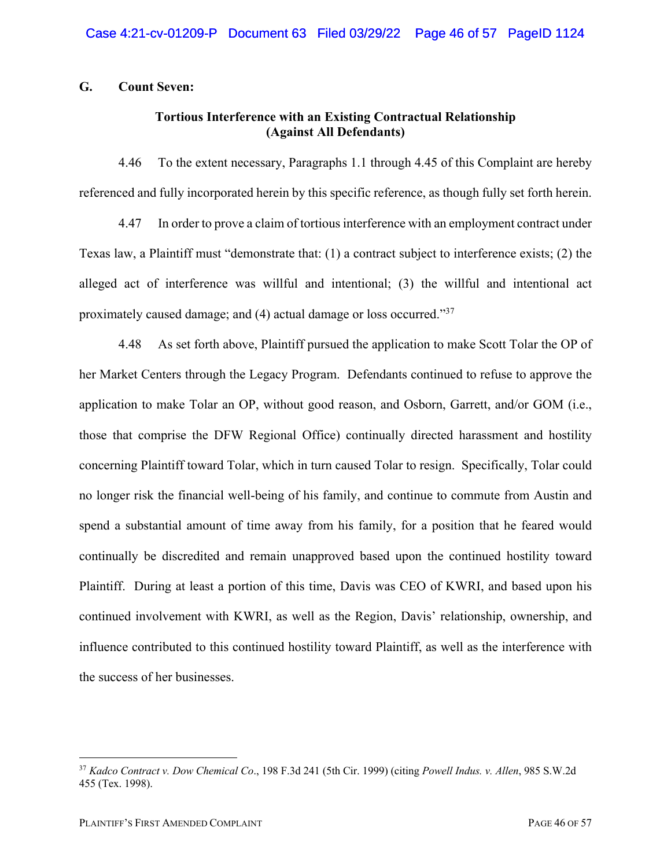### **G. Count Seven:**

### **Tortious Interference with an Existing Contractual Relationship (Against All Defendants)**

4.46 To the extent necessary, Paragraphs 1.1 through 4.45 of this Complaint are hereby referenced and fully incorporated herein by this specific reference, as though fully set forth herein.

4.47 In order to prove a claim of tortious interference with an employment contract under Texas law, a Plaintiff must "demonstrate that: (1) a contract subject to interference exists; (2) the alleged act of interference was willful and intentional; (3) the willful and intentional act proximately caused damage; and (4) actual damage or loss occurred."37

4.48 As set forth above, Plaintiff pursued the application to make Scott Tolar the OP of her Market Centers through the Legacy Program. Defendants continued to refuse to approve the application to make Tolar an OP, without good reason, and Osborn, Garrett, and/or GOM (i.e., those that comprise the DFW Regional Office) continually directed harassment and hostility concerning Plaintiff toward Tolar, which in turn caused Tolar to resign. Specifically, Tolar could no longer risk the financial well-being of his family, and continue to commute from Austin and spend a substantial amount of time away from his family, for a position that he feared would continually be discredited and remain unapproved based upon the continued hostility toward Plaintiff. During at least a portion of this time, Davis was CEO of KWRI, and based upon his continued involvement with KWRI, as well as the Region, Davis' relationship, ownership, and influence contributed to this continued hostility toward Plaintiff, as well as the interference with the success of her businesses.

<sup>37</sup> *Kadco Contract v. Dow Chemical Co*., 198 F.3d 241 (5th Cir. 1999) (citing *Powell Indus. v. Allen*, 985 S.W.2d 455 (Tex. 1998).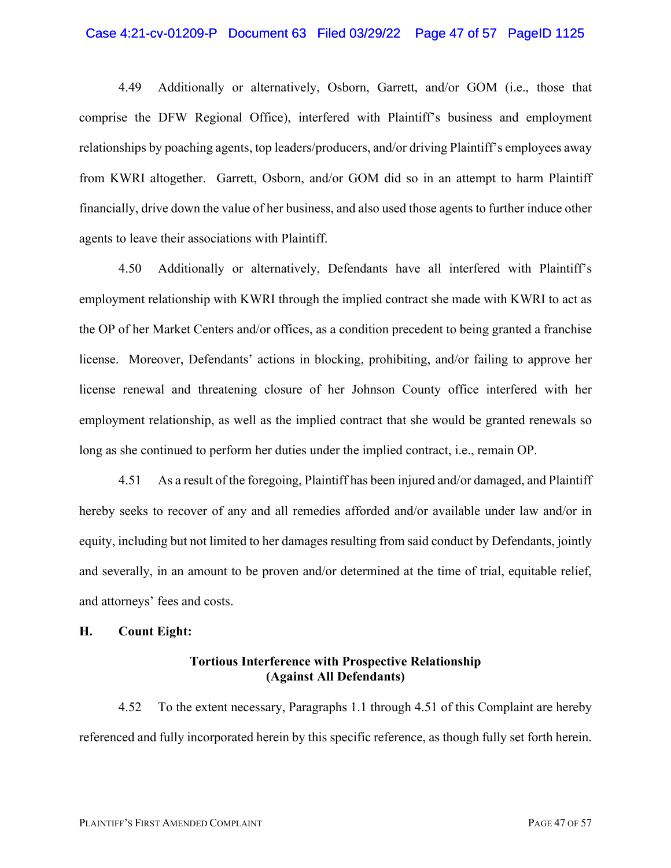#### Case 4:21-cv-01209-P Document 63 Filed 03/29/22 Page 47 of 57 PageID 1125

4.49 Additionally or alternatively, Osborn, Garrett, and/or GOM (i.e., those that comprise the DFW Regional Office), interfered with Plaintiff's business and employment relationships by poaching agents, top leaders/producers, and/or driving Plaintiff's employees away from KWRI altogether. Garrett, Osborn, and/or GOM did so in an attempt to harm Plaintiff financially, drive down the value of her business, and also used those agents to further induce other agents to leave their associations with Plaintiff.

4.50 Additionally or alternatively, Defendants have all interfered with Plaintiff's employment relationship with KWRI through the implied contract she made with KWRI to act as the OP of her Market Centers and/or offices, as a condition precedent to being granted a franchise license. Moreover, Defendants' actions in blocking, prohibiting, and/or failing to approve her license renewal and threatening closure of her Johnson County office interfered with her employment relationship, as well as the implied contract that she would be granted renewals so long as she continued to perform her duties under the implied contract, i.e., remain OP.

4.51 As a result of the foregoing, Plaintiff has been injured and/or damaged, and Plaintiff hereby seeks to recover of any and all remedies afforded and/or available under law and/or in equity, including but not limited to her damages resulting from said conduct by Defendants, jointly and severally, in an amount to be proven and/or determined at the time of trial, equitable relief, and attorneys' fees and costs.

#### **H. Count Eight:**

### **Tortious Interference with Prospective Relationship (Against All Defendants)**

4.52 To the extent necessary, Paragraphs 1.1 through 4.51 of this Complaint are hereby referenced and fully incorporated herein by this specific reference, as though fully set forth herein.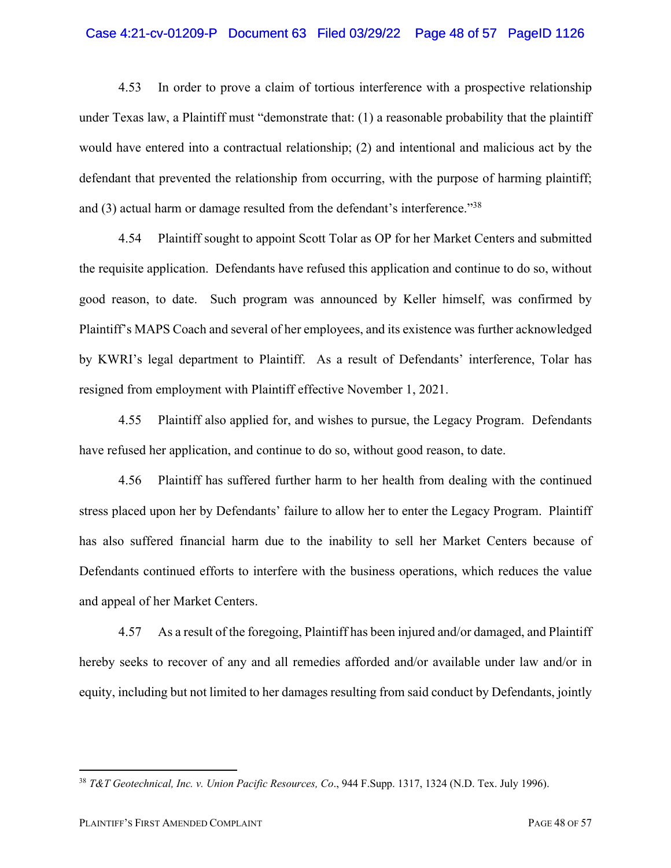#### Case 4:21-cv-01209-P Document 63 Filed 03/29/22 Page 48 of 57 PageID 1126

4.53 In order to prove a claim of tortious interference with a prospective relationship under Texas law, a Plaintiff must "demonstrate that: (1) a reasonable probability that the plaintiff would have entered into a contractual relationship; (2) and intentional and malicious act by the defendant that prevented the relationship from occurring, with the purpose of harming plaintiff; and (3) actual harm or damage resulted from the defendant's interference."38

4.54 Plaintiff sought to appoint Scott Tolar as OP for her Market Centers and submitted the requisite application. Defendants have refused this application and continue to do so, without good reason, to date. Such program was announced by Keller himself, was confirmed by Plaintiff's MAPS Coach and several of her employees, and its existence was further acknowledged by KWRI's legal department to Plaintiff. As a result of Defendants' interference, Tolar has resigned from employment with Plaintiff effective November 1, 2021.

4.55 Plaintiff also applied for, and wishes to pursue, the Legacy Program. Defendants have refused her application, and continue to do so, without good reason, to date.

4.56 Plaintiff has suffered further harm to her health from dealing with the continued stress placed upon her by Defendants' failure to allow her to enter the Legacy Program. Plaintiff has also suffered financial harm due to the inability to sell her Market Centers because of Defendants continued efforts to interfere with the business operations, which reduces the value and appeal of her Market Centers.

4.57 As a result of the foregoing, Plaintiff has been injured and/or damaged, and Plaintiff hereby seeks to recover of any and all remedies afforded and/or available under law and/or in equity, including but not limited to her damages resulting from said conduct by Defendants, jointly

<sup>38</sup> *T&T Geotechnical, Inc. v. Union Pacific Resources, Co*., 944 F.Supp. 1317, 1324 (N.D. Tex. July 1996).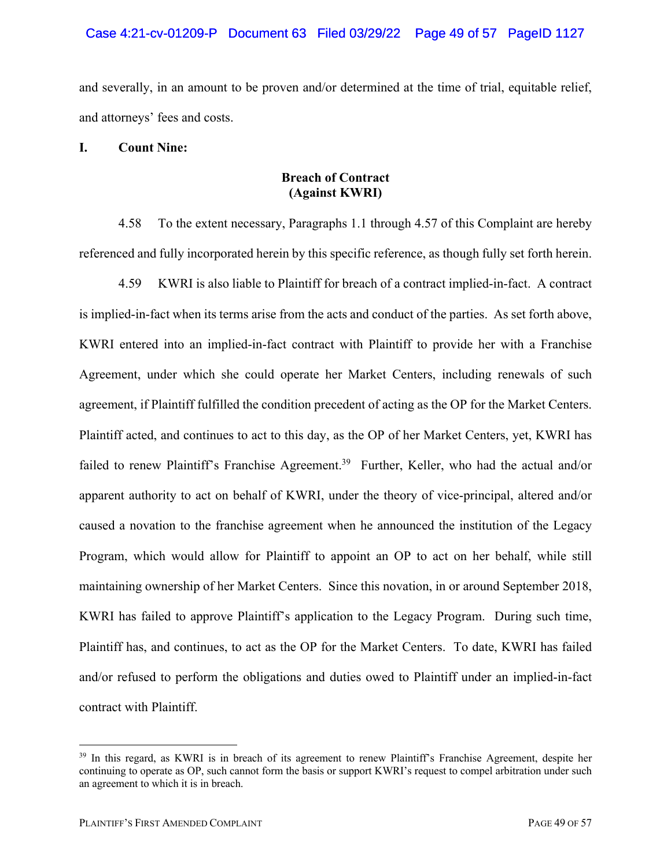and severally, in an amount to be proven and/or determined at the time of trial, equitable relief, and attorneys' fees and costs.

### **I. Count Nine:**

### **Breach of Contract (Against KWRI)**

4.58 To the extent necessary, Paragraphs 1.1 through 4.57 of this Complaint are hereby referenced and fully incorporated herein by this specific reference, as though fully set forth herein.

4.59 KWRI is also liable to Plaintiff for breach of a contract implied-in-fact. A contract is implied-in-fact when its terms arise from the acts and conduct of the parties. As set forth above, KWRI entered into an implied-in-fact contract with Plaintiff to provide her with a Franchise Agreement, under which she could operate her Market Centers, including renewals of such agreement, if Plaintiff fulfilled the condition precedent of acting as the OP for the Market Centers. Plaintiff acted, and continues to act to this day, as the OP of her Market Centers, yet, KWRI has failed to renew Plaintiff's Franchise Agreement.<sup>39</sup> Further, Keller, who had the actual and/or apparent authority to act on behalf of KWRI, under the theory of vice-principal, altered and/or caused a novation to the franchise agreement when he announced the institution of the Legacy Program, which would allow for Plaintiff to appoint an OP to act on her behalf, while still maintaining ownership of her Market Centers. Since this novation, in or around September 2018, KWRI has failed to approve Plaintiff's application to the Legacy Program. During such time, Plaintiff has, and continues, to act as the OP for the Market Centers. To date, KWRI has failed and/or refused to perform the obligations and duties owed to Plaintiff under an implied-in-fact contract with Plaintiff.

<sup>&</sup>lt;sup>39</sup> In this regard, as KWRI is in breach of its agreement to renew Plaintiff's Franchise Agreement, despite her continuing to operate as OP, such cannot form the basis or support KWRI's request to compel arbitration under such an agreement to which it is in breach.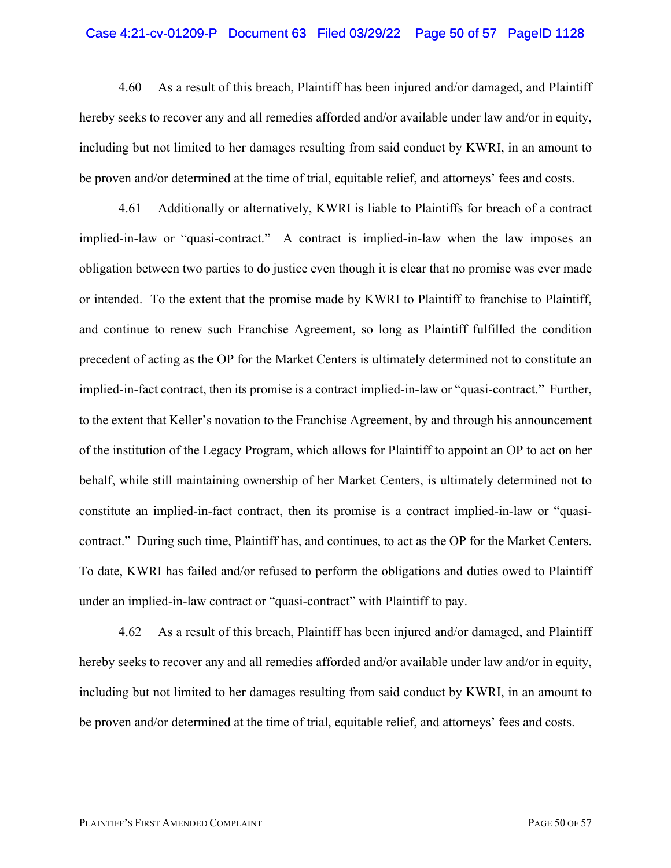#### Case 4:21-cv-01209-P Document 63 Filed 03/29/22 Page 50 of 57 PageID 1128

4.60 As a result of this breach, Plaintiff has been injured and/or damaged, and Plaintiff hereby seeks to recover any and all remedies afforded and/or available under law and/or in equity, including but not limited to her damages resulting from said conduct by KWRI, in an amount to be proven and/or determined at the time of trial, equitable relief, and attorneys' fees and costs.

4.61 Additionally or alternatively, KWRI is liable to Plaintiffs for breach of a contract implied-in-law or "quasi-contract." A contract is implied-in-law when the law imposes an obligation between two parties to do justice even though it is clear that no promise was ever made or intended. To the extent that the promise made by KWRI to Plaintiff to franchise to Plaintiff, and continue to renew such Franchise Agreement, so long as Plaintiff fulfilled the condition precedent of acting as the OP for the Market Centers is ultimately determined not to constitute an implied-in-fact contract, then its promise is a contract implied-in-law or "quasi-contract." Further, to the extent that Keller's novation to the Franchise Agreement, by and through his announcement of the institution of the Legacy Program, which allows for Plaintiff to appoint an OP to act on her behalf, while still maintaining ownership of her Market Centers, is ultimately determined not to constitute an implied-in-fact contract, then its promise is a contract implied-in-law or "quasicontract." During such time, Plaintiff has, and continues, to act as the OP for the Market Centers. To date, KWRI has failed and/or refused to perform the obligations and duties owed to Plaintiff under an implied-in-law contract or "quasi-contract" with Plaintiff to pay.

4.62 As a result of this breach, Plaintiff has been injured and/or damaged, and Plaintiff hereby seeks to recover any and all remedies afforded and/or available under law and/or in equity, including but not limited to her damages resulting from said conduct by KWRI, in an amount to be proven and/or determined at the time of trial, equitable relief, and attorneys' fees and costs.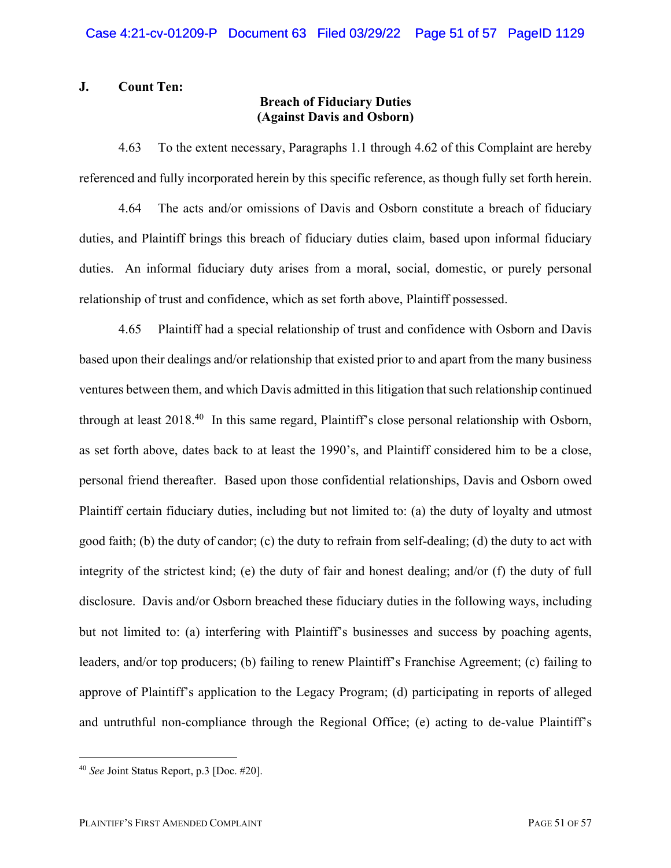### **J. Count Ten:**

# **Breach of Fiduciary Duties (Against Davis and Osborn)**

4.63 To the extent necessary, Paragraphs 1.1 through 4.62 of this Complaint are hereby referenced and fully incorporated herein by this specific reference, as though fully set forth herein.

4.64 The acts and/or omissions of Davis and Osborn constitute a breach of fiduciary duties, and Plaintiff brings this breach of fiduciary duties claim, based upon informal fiduciary duties. An informal fiduciary duty arises from a moral, social, domestic, or purely personal relationship of trust and confidence, which as set forth above, Plaintiff possessed.

4.65 Plaintiff had a special relationship of trust and confidence with Osborn and Davis based upon their dealings and/or relationship that existed prior to and apart from the many business ventures between them, and which Davis admitted in this litigation that such relationship continued through at least 2018.<sup>40</sup> In this same regard, Plaintiff's close personal relationship with Osborn, as set forth above, dates back to at least the 1990's, and Plaintiff considered him to be a close, personal friend thereafter. Based upon those confidential relationships, Davis and Osborn owed Plaintiff certain fiduciary duties, including but not limited to: (a) the duty of loyalty and utmost good faith; (b) the duty of candor; (c) the duty to refrain from self-dealing; (d) the duty to act with integrity of the strictest kind; (e) the duty of fair and honest dealing; and/or (f) the duty of full disclosure. Davis and/or Osborn breached these fiduciary duties in the following ways, including but not limited to: (a) interfering with Plaintiff's businesses and success by poaching agents, leaders, and/or top producers; (b) failing to renew Plaintiff's Franchise Agreement; (c) failing to approve of Plaintiff's application to the Legacy Program; (d) participating in reports of alleged and untruthful non-compliance through the Regional Office; (e) acting to de-value Plaintiff's

<sup>40</sup> *See* Joint Status Report, p.3 [Doc. #20].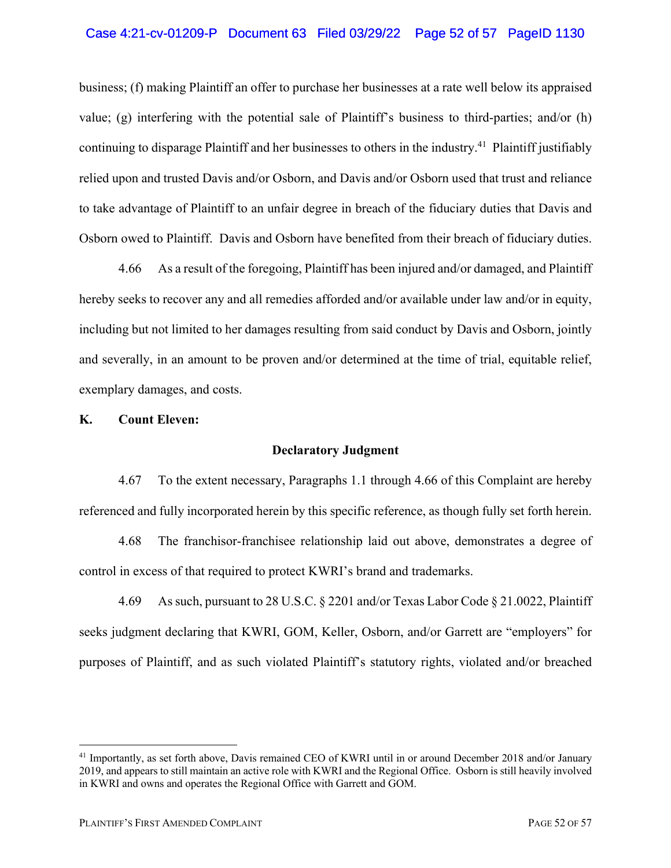### Case 4:21-cv-01209-P Document 63 Filed 03/29/22 Page 52 of 57 PageID 1130

business; (f) making Plaintiff an offer to purchase her businesses at a rate well below its appraised value; (g) interfering with the potential sale of Plaintiff's business to third-parties; and/or (h) continuing to disparage Plaintiff and her businesses to others in the industry.41 Plaintiff justifiably relied upon and trusted Davis and/or Osborn, and Davis and/or Osborn used that trust and reliance to take advantage of Plaintiff to an unfair degree in breach of the fiduciary duties that Davis and Osborn owed to Plaintiff. Davis and Osborn have benefited from their breach of fiduciary duties.

4.66 As a result of the foregoing, Plaintiff has been injured and/or damaged, and Plaintiff hereby seeks to recover any and all remedies afforded and/or available under law and/or in equity, including but not limited to her damages resulting from said conduct by Davis and Osborn, jointly and severally, in an amount to be proven and/or determined at the time of trial, equitable relief, exemplary damages, and costs.

#### **K. Count Eleven:**

#### **Declaratory Judgment**

4.67 To the extent necessary, Paragraphs 1.1 through 4.66 of this Complaint are hereby referenced and fully incorporated herein by this specific reference, as though fully set forth herein.

4.68 The franchisor-franchisee relationship laid out above, demonstrates a degree of control in excess of that required to protect KWRI's brand and trademarks.

4.69 As such, pursuant to 28 U.S.C. § 2201 and/or Texas Labor Code § 21.0022, Plaintiff seeks judgment declaring that KWRI, GOM, Keller, Osborn, and/or Garrett are "employers" for purposes of Plaintiff, and as such violated Plaintiff's statutory rights, violated and/or breached

<sup>41</sup> Importantly, as set forth above, Davis remained CEO of KWRI until in or around December 2018 and/or January 2019, and appears to still maintain an active role with KWRI and the Regional Office. Osborn is still heavily involved in KWRI and owns and operates the Regional Office with Garrett and GOM.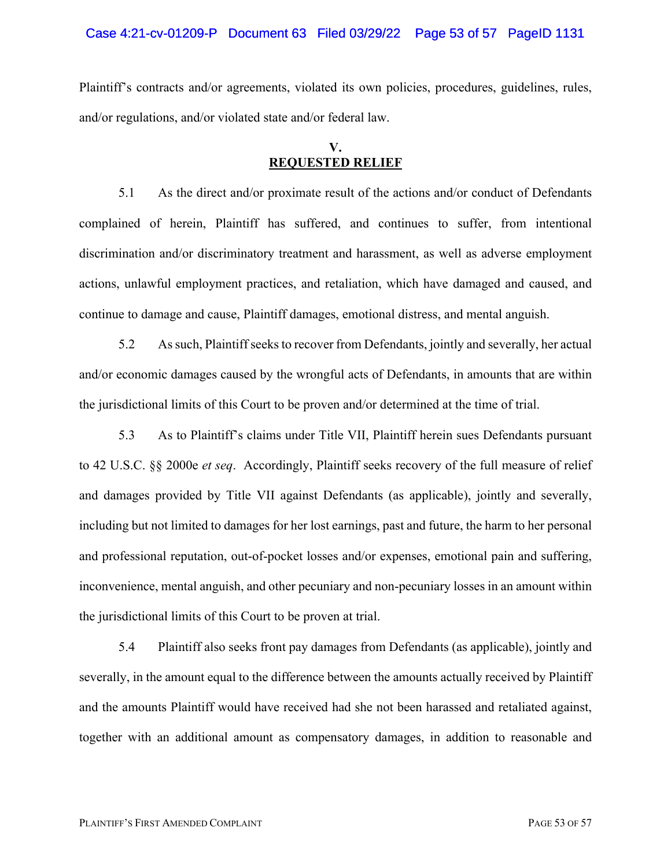#### Case 4:21-cv-01209-P Document 63 Filed 03/29/22 Page 53 of 57 PageID 1131

Plaintiff's contracts and/or agreements, violated its own policies, procedures, guidelines, rules, and/or regulations, and/or violated state and/or federal law.

# **V. REQUESTED RELIEF**

5.1 As the direct and/or proximate result of the actions and/or conduct of Defendants complained of herein, Plaintiff has suffered, and continues to suffer, from intentional discrimination and/or discriminatory treatment and harassment, as well as adverse employment actions, unlawful employment practices, and retaliation, which have damaged and caused, and continue to damage and cause, Plaintiff damages, emotional distress, and mental anguish.

5.2 As such, Plaintiff seeks to recover from Defendants, jointly and severally, her actual and/or economic damages caused by the wrongful acts of Defendants, in amounts that are within the jurisdictional limits of this Court to be proven and/or determined at the time of trial.

5.3 As to Plaintiff's claims under Title VII, Plaintiff herein sues Defendants pursuant to 42 U.S.C. §§ 2000e *et seq*. Accordingly, Plaintiff seeks recovery of the full measure of relief and damages provided by Title VII against Defendants (as applicable), jointly and severally, including but not limited to damages for her lost earnings, past and future, the harm to her personal and professional reputation, out-of-pocket losses and/or expenses, emotional pain and suffering, inconvenience, mental anguish, and other pecuniary and non-pecuniary losses in an amount within the jurisdictional limits of this Court to be proven at trial.

5.4 Plaintiff also seeks front pay damages from Defendants (as applicable), jointly and severally, in the amount equal to the difference between the amounts actually received by Plaintiff and the amounts Plaintiff would have received had she not been harassed and retaliated against, together with an additional amount as compensatory damages, in addition to reasonable and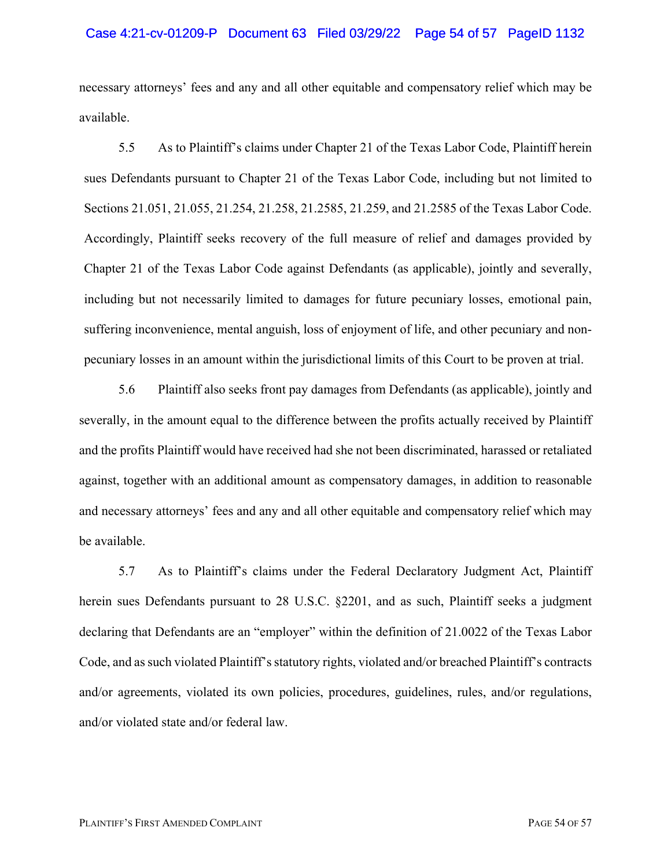#### Case 4:21-cv-01209-P Document 63 Filed 03/29/22 Page 54 of 57 PageID 1132

necessary attorneys' fees and any and all other equitable and compensatory relief which may be available.

5.5 As to Plaintiff's claims under Chapter 21 of the Texas Labor Code, Plaintiff herein sues Defendants pursuant to Chapter 21 of the Texas Labor Code, including but not limited to Sections 21.051, 21.055, 21.254, 21.258, 21.2585, 21.259, and 21.2585 of the Texas Labor Code. Accordingly, Plaintiff seeks recovery of the full measure of relief and damages provided by Chapter 21 of the Texas Labor Code against Defendants (as applicable), jointly and severally, including but not necessarily limited to damages for future pecuniary losses, emotional pain, suffering inconvenience, mental anguish, loss of enjoyment of life, and other pecuniary and nonpecuniary losses in an amount within the jurisdictional limits of this Court to be proven at trial.

5.6 Plaintiff also seeks front pay damages from Defendants (as applicable), jointly and severally, in the amount equal to the difference between the profits actually received by Plaintiff and the profits Plaintiff would have received had she not been discriminated, harassed or retaliated against, together with an additional amount as compensatory damages, in addition to reasonable and necessary attorneys' fees and any and all other equitable and compensatory relief which may be available.

5.7 As to Plaintiff's claims under the Federal Declaratory Judgment Act, Plaintiff herein sues Defendants pursuant to 28 U.S.C. §2201, and as such, Plaintiff seeks a judgment declaring that Defendants are an "employer" within the definition of 21.0022 of the Texas Labor Code, and as such violated Plaintiff's statutory rights, violated and/or breached Plaintiff's contracts and/or agreements, violated its own policies, procedures, guidelines, rules, and/or regulations, and/or violated state and/or federal law.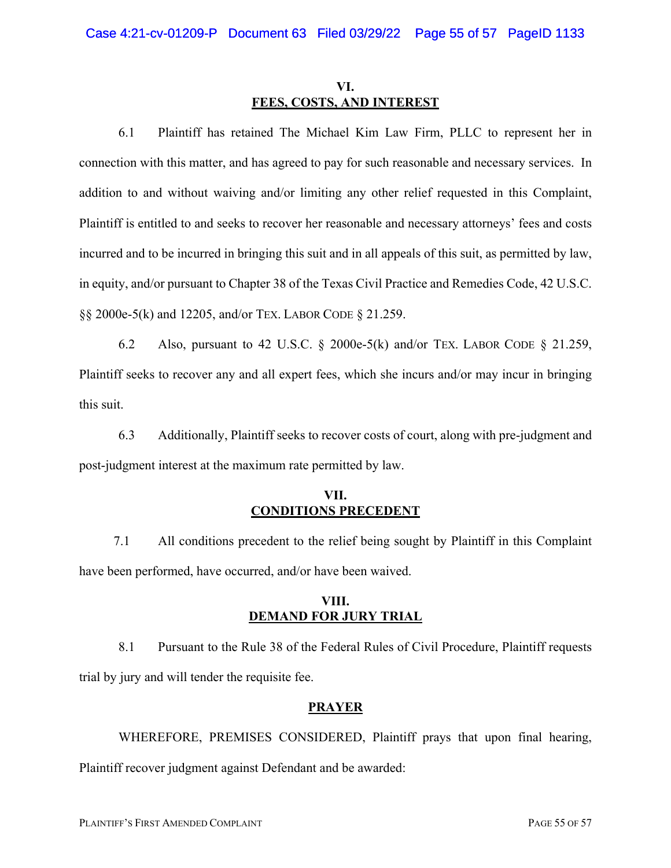# **VI. FEES, COSTS, AND INTEREST**

6.1 Plaintiff has retained The Michael Kim Law Firm, PLLC to represent her in connection with this matter, and has agreed to pay for such reasonable and necessary services. In addition to and without waiving and/or limiting any other relief requested in this Complaint, Plaintiff is entitled to and seeks to recover her reasonable and necessary attorneys' fees and costs incurred and to be incurred in bringing this suit and in all appeals of this suit, as permitted by law, in equity, and/or pursuant to Chapter 38 of the Texas Civil Practice and Remedies Code, 42 U.S.C. §§ 2000e-5(k) and 12205, and/or TEX. LABOR CODE § 21.259.

6.2 Also, pursuant to 42 U.S.C.  $\&$  2000e-5(k) and/or TEX. LABOR CODE  $\&$  21.259, Plaintiff seeks to recover any and all expert fees, which she incurs and/or may incur in bringing this suit.

6.3 Additionally, Plaintiff seeks to recover costs of court, along with pre-judgment and post-judgment interest at the maximum rate permitted by law.

# **VII. CONDITIONS PRECEDENT**

7.1 All conditions precedent to the relief being sought by Plaintiff in this Complaint have been performed, have occurred, and/or have been waived.

### **VIII. DEMAND FOR JURY TRIAL**

8.1 Pursuant to the Rule 38 of the Federal Rules of Civil Procedure, Plaintiff requests trial by jury and will tender the requisite fee.

# **PRAYER**

WHEREFORE, PREMISES CONSIDERED, Plaintiff prays that upon final hearing, Plaintiff recover judgment against Defendant and be awarded: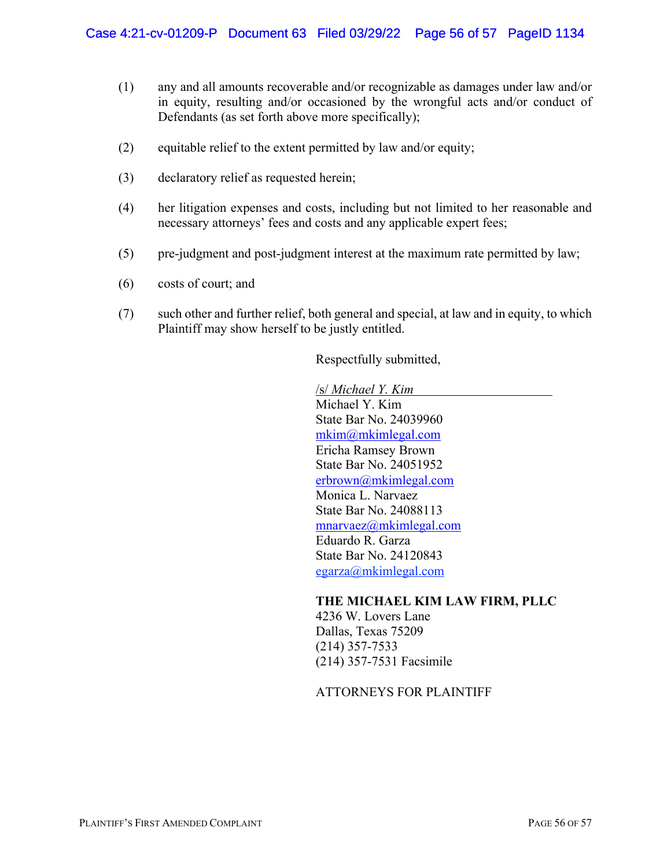- (1) any and all amounts recoverable and/or recognizable as damages under law and/or in equity, resulting and/or occasioned by the wrongful acts and/or conduct of Defendants (as set forth above more specifically);
- (2) equitable relief to the extent permitted by law and/or equity;
- (3) declaratory relief as requested herein;
- (4) her litigation expenses and costs, including but not limited to her reasonable and necessary attorneys' fees and costs and any applicable expert fees;
- (5) pre-judgment and post-judgment interest at the maximum rate permitted by law;
- (6) costs of court; and
- (7) such other and further relief, both general and special, at law and in equity, to which Plaintiff may show herself to be justly entitled.

Respectfully submitted,

/s/ *Michael Y. Kim* Michael Y. Kim State Bar No. 24039960 mkim@mkimlegal.com Ericha Ramsey Brown State Bar No. 24051952 erbrown@mkimlegal.com Monica L. Narvaez State Bar No. 24088113 mnarvaez@mkimlegal.com Eduardo R. Garza State Bar No. 24120843 egarza@mkimlegal.com

#### **THE MICHAEL KIM LAW FIRM, PLLC**

4236 W. Lovers Lane Dallas, Texas 75209 (214) 357-7533 (214) 357-7531 Facsimile

ATTORNEYS FOR PLAINTIFF